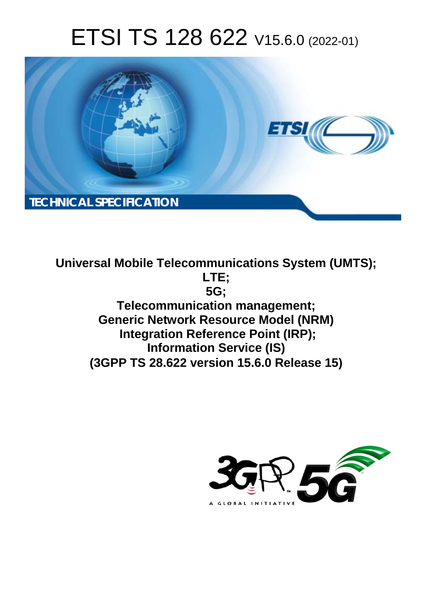# ETSI TS 128 622 V15.6.0 (2022-01)



**Universal Mobile Telecommunications System (UMTS); LTE; 5G; Telecommunication management; Generic Network Resource Model (NRM) Integration Reference Point (IRP); Information Service (IS) (3GPP TS 28.622 version 15.6.0 Release 15)** 

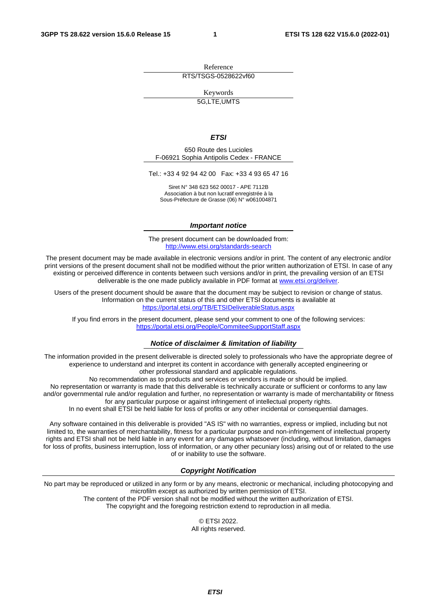Reference RTS/TSGS-0528622vf60

Keywords

5G,LTE,UMTS

#### *ETSI*

650 Route des Lucioles F-06921 Sophia Antipolis Cedex - FRANCE

Tel.: +33 4 92 94 42 00 Fax: +33 4 93 65 47 16

Siret N° 348 623 562 00017 - APE 7112B Association à but non lucratif enregistrée à la Sous-Préfecture de Grasse (06) N° w061004871

#### *Important notice*

The present document can be downloaded from: <http://www.etsi.org/standards-search>

The present document may be made available in electronic versions and/or in print. The content of any electronic and/or print versions of the present document shall not be modified without the prior written authorization of ETSI. In case of any existing or perceived difference in contents between such versions and/or in print, the prevailing version of an ETSI deliverable is the one made publicly available in PDF format at [www.etsi.org/deliver](http://www.etsi.org/deliver).

Users of the present document should be aware that the document may be subject to revision or change of status. Information on the current status of this and other ETSI documents is available at <https://portal.etsi.org/TB/ETSIDeliverableStatus.aspx>

If you find errors in the present document, please send your comment to one of the following services: <https://portal.etsi.org/People/CommiteeSupportStaff.aspx>

#### *Notice of disclaimer & limitation of liability*

The information provided in the present deliverable is directed solely to professionals who have the appropriate degree of experience to understand and interpret its content in accordance with generally accepted engineering or other professional standard and applicable regulations.

No recommendation as to products and services or vendors is made or should be implied.

No representation or warranty is made that this deliverable is technically accurate or sufficient or conforms to any law and/or governmental rule and/or regulation and further, no representation or warranty is made of merchantability or fitness for any particular purpose or against infringement of intellectual property rights.

In no event shall ETSI be held liable for loss of profits or any other incidental or consequential damages.

Any software contained in this deliverable is provided "AS IS" with no warranties, express or implied, including but not limited to, the warranties of merchantability, fitness for a particular purpose and non-infringement of intellectual property rights and ETSI shall not be held liable in any event for any damages whatsoever (including, without limitation, damages for loss of profits, business interruption, loss of information, or any other pecuniary loss) arising out of or related to the use of or inability to use the software.

#### *Copyright Notification*

No part may be reproduced or utilized in any form or by any means, electronic or mechanical, including photocopying and microfilm except as authorized by written permission of ETSI. The content of the PDF version shall not be modified without the written authorization of ETSI.

The copyright and the foregoing restriction extend to reproduction in all media.

© ETSI 2022. All rights reserved.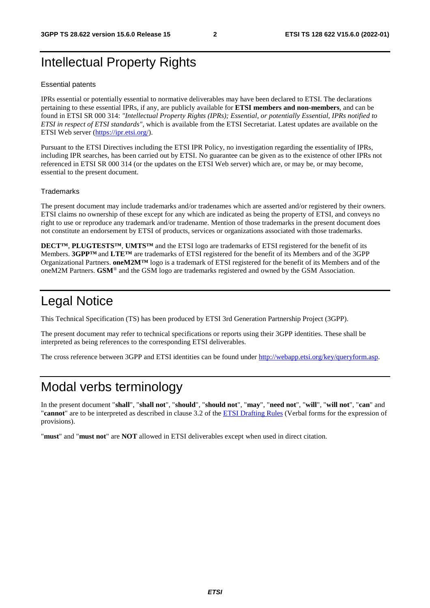## Intellectual Property Rights

#### Essential patents

IPRs essential or potentially essential to normative deliverables may have been declared to ETSI. The declarations pertaining to these essential IPRs, if any, are publicly available for **ETSI members and non-members**, and can be found in ETSI SR 000 314: *"Intellectual Property Rights (IPRs); Essential, or potentially Essential, IPRs notified to ETSI in respect of ETSI standards"*, which is available from the ETSI Secretariat. Latest updates are available on the ETSI Web server [\(https://ipr.etsi.org/](https://ipr.etsi.org/)).

Pursuant to the ETSI Directives including the ETSI IPR Policy, no investigation regarding the essentiality of IPRs, including IPR searches, has been carried out by ETSI. No guarantee can be given as to the existence of other IPRs not referenced in ETSI SR 000 314 (or the updates on the ETSI Web server) which are, or may be, or may become, essential to the present document.

#### **Trademarks**

The present document may include trademarks and/or tradenames which are asserted and/or registered by their owners. ETSI claims no ownership of these except for any which are indicated as being the property of ETSI, and conveys no right to use or reproduce any trademark and/or tradename. Mention of those trademarks in the present document does not constitute an endorsement by ETSI of products, services or organizations associated with those trademarks.

**DECT™**, **PLUGTESTS™**, **UMTS™** and the ETSI logo are trademarks of ETSI registered for the benefit of its Members. **3GPP™** and **LTE™** are trademarks of ETSI registered for the benefit of its Members and of the 3GPP Organizational Partners. **oneM2M™** logo is a trademark of ETSI registered for the benefit of its Members and of the oneM2M Partners. **GSM**® and the GSM logo are trademarks registered and owned by the GSM Association.

## Legal Notice

This Technical Specification (TS) has been produced by ETSI 3rd Generation Partnership Project (3GPP).

The present document may refer to technical specifications or reports using their 3GPP identities. These shall be interpreted as being references to the corresponding ETSI deliverables.

The cross reference between 3GPP and ETSI identities can be found under<http://webapp.etsi.org/key/queryform.asp>.

## Modal verbs terminology

In the present document "**shall**", "**shall not**", "**should**", "**should not**", "**may**", "**need not**", "**will**", "**will not**", "**can**" and "**cannot**" are to be interpreted as described in clause 3.2 of the [ETSI Drafting Rules](https://portal.etsi.org/Services/editHelp!/Howtostart/ETSIDraftingRules.aspx) (Verbal forms for the expression of provisions).

"**must**" and "**must not**" are **NOT** allowed in ETSI deliverables except when used in direct citation.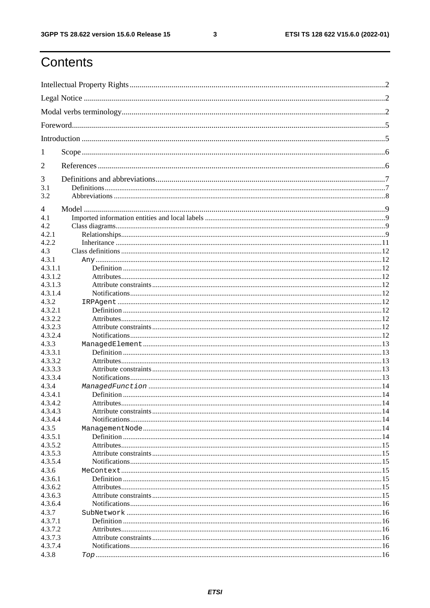$\mathbf{3}$ 

## Contents

| 1                  |  |  |  |
|--------------------|--|--|--|
| 2                  |  |  |  |
| 3                  |  |  |  |
| 3.1                |  |  |  |
| 3.2                |  |  |  |
| 4                  |  |  |  |
| 4.1                |  |  |  |
| 4.2                |  |  |  |
| 4.2.1              |  |  |  |
| 4.2.2              |  |  |  |
| 4.3                |  |  |  |
| 4.3.1              |  |  |  |
| 4.3.1.1            |  |  |  |
| 4.3.1.2            |  |  |  |
| 4.3.1.3            |  |  |  |
| 4.3.1.4            |  |  |  |
| 4.3.2              |  |  |  |
| 4.3.2.1            |  |  |  |
| 4.3.2.2            |  |  |  |
| 4.3.2.3            |  |  |  |
| 4.3.2.4            |  |  |  |
| 4.3.3              |  |  |  |
| 4.3.3.1            |  |  |  |
| 4.3.3.2            |  |  |  |
| 4.3.3.3            |  |  |  |
| 4.3.3.4            |  |  |  |
| 4.3.4              |  |  |  |
| 4.3.4.1            |  |  |  |
| 4.3.4.2            |  |  |  |
| 4.3.4.3            |  |  |  |
| 4.3.4.4            |  |  |  |
| 4.3.5              |  |  |  |
| 4.3.5.1            |  |  |  |
| 4.3.5.2            |  |  |  |
| 4.3.5.3<br>4.3.5.4 |  |  |  |
| 4.3.6              |  |  |  |
| 4.3.6.1            |  |  |  |
| 4.3.6.2            |  |  |  |
| 4.3.6.3            |  |  |  |
| 4.3.6.4            |  |  |  |
| 4.3.7              |  |  |  |
| 4.3.7.1            |  |  |  |
| 4.3.7.2            |  |  |  |
| 4.3.7.3            |  |  |  |
| 4.3.7.4            |  |  |  |
| 4.3.8              |  |  |  |
|                    |  |  |  |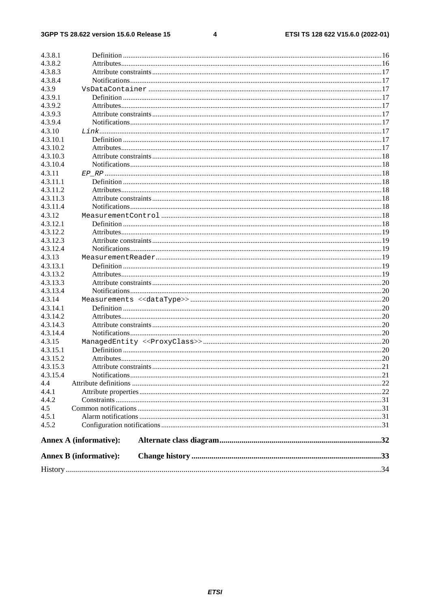#### $\overline{\mathbf{4}}$

|                      | <b>Annex B</b> (informative): |  |
|----------------------|-------------------------------|--|
|                      | <b>Annex A (informative):</b> |  |
| 4.5.2                |                               |  |
| 4.5.1                |                               |  |
| 4.5                  |                               |  |
| 4.4.2                |                               |  |
| 4.4.1                |                               |  |
| 4.4                  |                               |  |
| 4.3.15.4             |                               |  |
| 4.3.15.3             |                               |  |
| 4.3.15.2             |                               |  |
| 4.3.15.1             |                               |  |
| 4.3.15               |                               |  |
|                      |                               |  |
| 4.3.14.3<br>4.3.14.4 |                               |  |
| 4.3.14.2             |                               |  |
|                      |                               |  |
| 4.3.14.1             |                               |  |
| 4.3.14               |                               |  |
| 4.3.13.4             |                               |  |
| 4.3.13.3             |                               |  |
| 4.3.13.2             |                               |  |
| 4.3.13.1             |                               |  |
| 4.3.13               |                               |  |
| 4.3.12.4             |                               |  |
| 4.3.12.3             |                               |  |
| 4.3.12.2             |                               |  |
| 4.3.12.1             |                               |  |
| 4.3.12               |                               |  |
| 4.3.11.4             |                               |  |
| 4.3.11.3             |                               |  |
| 4.3.11.2             |                               |  |
| 4.3.11.1             |                               |  |
| 4.3.11               |                               |  |
| 4.3.10.4             |                               |  |
| 4.3.10.3             |                               |  |
| 4.3.10.2             |                               |  |
| 4.3.10.1             |                               |  |
| 4.3.10               |                               |  |
| 4.3.9.4              |                               |  |
| 4.3.9.3              |                               |  |
| 4.3.9.2              |                               |  |
| 4.3.9.1              |                               |  |
| 4.3.9                |                               |  |
| 4.3.8.4              |                               |  |
| 4.3.8.2<br>4.3.8.3   |                               |  |
|                      |                               |  |
| 4.3.8.1              |                               |  |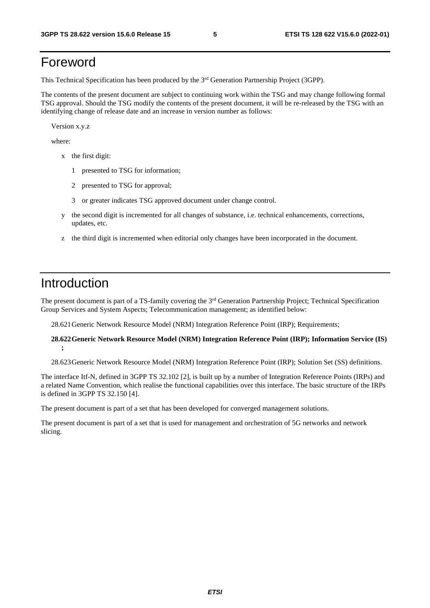## Foreword

This Technical Specification has been produced by the 3rd Generation Partnership Project (3GPP).

The contents of the present document are subject to continuing work within the TSG and may change following formal TSG approval. Should the TSG modify the contents of the present document, it will be re-released by the TSG with an identifying change of release date and an increase in version number as follows:

Version x.y.z

where:

- x the first digit:
	- 1 presented to TSG for information;
	- 2 presented to TSG for approval;
	- 3 or greater indicates TSG approved document under change control.
- y the second digit is incremented for all changes of substance, i.e. technical enhancements, corrections, updates, etc.
- z the third digit is incremented when editorial only changes have been incorporated in the document.

## Introduction

The present document is part of a TS-family covering the 3<sup>rd</sup> Generation Partnership Project; Technical Specification Group Services and System Aspects; Telecommunication management; as identified below:

28.621 Generic Network Resource Model (NRM) Integration Reference Point (IRP); Requirements;

#### **28.622 Generic Network Resource Model (NRM) Integration Reference Point (IRP); Information Service (IS) ;**

28.623 Generic Network Resource Model (NRM) Integration Reference Point (IRP); Solution Set (SS) definitions.

The interface Itf-N, defined in 3GPP TS 32.102 [2], is built up by a number of Integration Reference Points (IRPs) and a related Name Convention, which realise the functional capabilities over this interface. The basic structure of the IRPs is defined in 3GPP TS 32.150 [4].

The present document is part of a set that has been developed for converged management solutions.

The present document is part of a set that is used for management and orchestration of 5G networks and network slicing.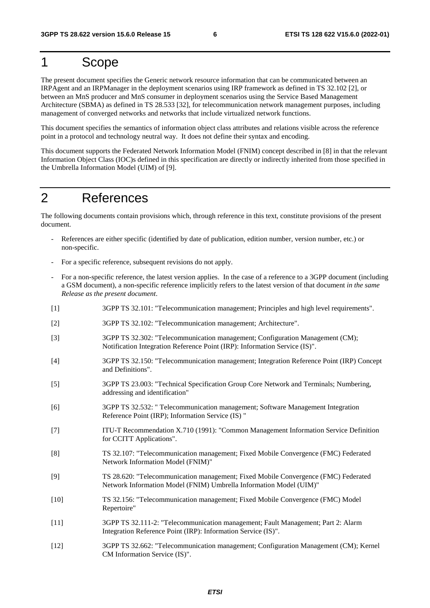## 1 Scope

The present document specifies the Generic network resource information that can be communicated between an IRPAgent and an IRPManager in the deployment scenarios using IRP framework as defined in TS 32.102 [2], or between an MnS producer and MnS consumer in deployment scenarios using the Service Based Management Architecture (SBMA) as defined in TS 28.533 [32], for telecommunication network management purposes, including management of converged networks and networks that include virtualized network functions.

This document specifies the semantics of information object class attributes and relations visible across the reference point in a protocol and technology neutral way. It does not define their syntax and encoding.

This document supports the Federated Network Information Model (FNIM) concept described in [8] in that the relevant Information Object Class (IOC)s defined in this specification are directly or indirectly inherited from those specified in the Umbrella Information Model (UIM) of [9].

## 2 References

The following documents contain provisions which, through reference in this text, constitute provisions of the present document.

- References are either specific (identified by date of publication, edition number, version number, etc.) or non-specific.
- For a specific reference, subsequent revisions do not apply.
- For a non-specific reference, the latest version applies. In the case of a reference to a 3GPP document (including a GSM document), a non-specific reference implicitly refers to the latest version of that document *in the same Release as the present document*.
- [1] 3GPP TS 32.101: "Telecommunication management; Principles and high level requirements".
- [2] 3GPP TS 32.102: "Telecommunication management; Architecture".
- [3] 3GPP TS 32.302: "Telecommunication management; Configuration Management (CM); Notification Integration Reference Point (IRP): Information Service (IS)".
- [4] 3GPP TS 32.150: "Telecommunication management; Integration Reference Point (IRP) Concept and Definitions".
- [5] 3GPP TS 23.003: "Technical Specification Group Core Network and Terminals; Numbering, addressing and identification"
- [6] 3GPP TS 32.532: " Telecommunication management; Software Management Integration Reference Point (IRP); Information Service (IS) "
- [7] ITU-T Recommendation X.710 (1991): "Common Management Information Service Definition for CCITT Applications".
- [8] TS 32.107: "Telecommunication management; Fixed Mobile Convergence (FMC) Federated Network Information Model (FNIM)"
- [9] TS 28.620: "Telecommunication management; Fixed Mobile Convergence (FMC) Federated Network Information Model (FNIM) Umbrella Information Model (UIM)"
- [10] TS 32.156: "Telecommunication management; Fixed Mobile Convergence (FMC) Model Repertoire"
- [11] 3GPP TS 32.111-2: "Telecommunication management; Fault Management; Part 2: Alarm Integration Reference Point (IRP): Information Service (IS)".
- [12] 3GPP TS 32.662: "Telecommunication management; Configuration Management (CM); Kernel CM Information Service (IS)".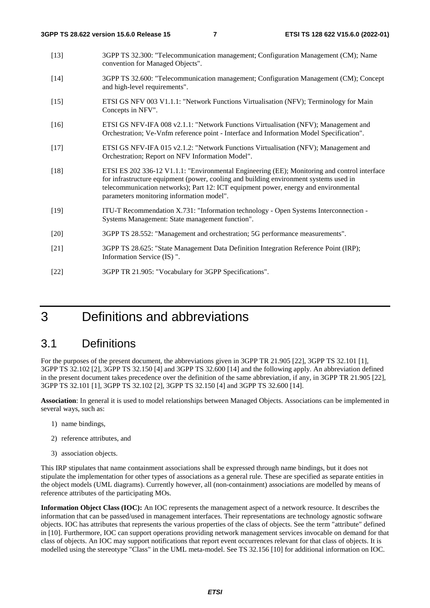| $[13]$ | 3GPP TS 32.300: "Telecommunication management; Configuration Management (CM); Name<br>convention for Managed Objects".                                                                                                                                                                                                    |
|--------|---------------------------------------------------------------------------------------------------------------------------------------------------------------------------------------------------------------------------------------------------------------------------------------------------------------------------|
| $[14]$ | 3GPP TS 32.600: "Telecommunication management; Configuration Management (CM); Concept<br>and high-level requirements".                                                                                                                                                                                                    |
| $[15]$ | ETSI GS NFV 003 V1.1.1: "Network Functions Virtualisation (NFV); Terminology for Main<br>Concepts in NFV".                                                                                                                                                                                                                |
| $[16]$ | ETSI GS NFV-IFA 008 v2.1.1: "Network Functions Virtualisation (NFV); Management and<br>Orchestration; Ve-Vnfm reference point - Interface and Information Model Specification".                                                                                                                                           |
| $[17]$ | ETSI GS NFV-IFA 015 v2.1.2: "Network Functions Virtualisation (NFV); Management and<br>Orchestration; Report on NFV Information Model".                                                                                                                                                                                   |
| $[18]$ | ETSI ES 202 336-12 V1.1.1: "Environmental Engineering (EE); Monitoring and control interface<br>for infrastructure equipment (power, cooling and building environment systems used in<br>telecommunication networks); Part 12: ICT equipment power, energy and environmental<br>parameters monitoring information model". |
| $[19]$ | ITU-T Recommendation X.731: "Information technology - Open Systems Interconnection -<br>Systems Management: State management function".                                                                                                                                                                                   |
| $[20]$ | 3GPP TS 28.552: "Management and orchestration; 5G performance measurements".                                                                                                                                                                                                                                              |
| $[21]$ | 3GPP TS 28.625: "State Management Data Definition Integration Reference Point (IRP);<br>Information Service (IS) ".                                                                                                                                                                                                       |
| $[22]$ | 3GPP TR 21.905: "Vocabulary for 3GPP Specifications".                                                                                                                                                                                                                                                                     |

## 3 Definitions and abbreviations

## 3.1 Definitions

For the purposes of the present document, the abbreviations given in 3GPP TR 21.905 [22], 3GPP TS 32.101 [1], 3GPP TS 32.102 [2], 3GPP TS 32.150 [4] and 3GPP TS 32.600 [14] and the following apply. An abbreviation defined in the present document takes precedence over the definition of the same abbreviation, if any, in 3GPP TR 21.905 [22], 3GPP TS 32.101 [1], 3GPP TS 32.102 [2], 3GPP TS 32.150 [4] and 3GPP TS 32.600 [14].

**Association**: In general it is used to model relationships between Managed Objects. Associations can be implemented in several ways, such as:

- 1) name bindings,
- 2) reference attributes, and
- 3) association objects.

This IRP stipulates that name containment associations shall be expressed through name bindings, but it does not stipulate the implementation for other types of associations as a general rule. These are specified as separate entities in the object models (UML diagrams). Currently however, all (non-containment) associations are modelled by means of reference attributes of the participating MOs.

**Information Object Class (IOC):** An IOC represents the management aspect of a network resource. It describes the information that can be passed/used in management interfaces. Their representations are technology agnostic software objects. IOC has attributes that represents the various properties of the class of objects. See the term "attribute" defined in [10]. Furthermore, IOC can support operations providing network management services invocable on demand for that class of objects. An IOC may support notifications that report event occurrences relevant for that class of objects. It is modelled using the stereotype "Class" in the UML meta-model. See TS 32.156 [10] for additional information on IOC.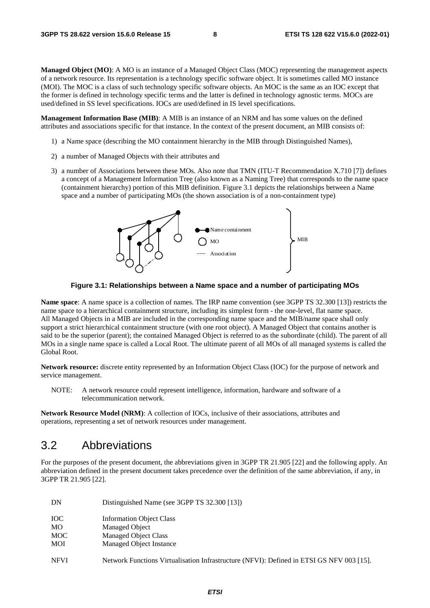**Managed Object (MO)**: A MO is an instance of a Managed Object Class (MOC) representing the management aspects of a network resource. Its representation is a technology specific software object. It is sometimes called MO instance (MOI). The MOC is a class of such technology specific software objects. An MOC is the same as an IOC except that the former is defined in technology specific terms and the latter is defined in technology agnostic terms. MOCs are used/defined in SS level specifications. IOCs are used/defined in IS level specifications.

**Management Information Base (MIB)**: A MIB is an instance of an NRM and has some values on the defined attributes and associations specific for that instance. In the context of the present document, an MIB consists of:

- 1) a Name space (describing the MO containment hierarchy in the MIB through Distinguished Names),
- 2) a number of Managed Objects with their attributes and
- 3) a number of Associations between these MOs. Also note that TMN (ITU-T Recommendation X.710 [7]) defines a concept of a Management Information Tree (also known as a Naming Tree) that corresponds to the name space (containment hierarchy) portion of this MIB definition. Figure 3.1 depicts the relationships between a Name space and a number of participating MOs (the shown association is of a non-containment type)



**Figure 3.1: Relationships between a Name space and a number of participating MOs** 

**Name space**: A name space is a collection of names. The IRP name convention (see 3GPP TS 32.300 [13]) restricts the name space to a hierarchical containment structure, including its simplest form - the one-level, flat name space. All Managed Objects in a MIB are included in the corresponding name space and the MIB/name space shall only support a strict hierarchical containment structure (with one root object). A Managed Object that contains another is said to be the superior (parent); the contained Managed Object is referred to as the subordinate (child). The parent of all MOs in a single name space is called a Local Root. The ultimate parent of all MOs of all managed systems is called the Global Root.

**Network resource:** discrete entity represented by an Information Object Class (IOC) for the purpose of network and service management.

NOTE: A network resource could represent intelligence, information, hardware and software of a telecommunication network.

**Network Resource Model (NRM)**: A collection of IOCs, inclusive of their associations, attributes and operations, representing a set of network resources under management.

## 3.2 Abbreviations

For the purposes of the present document, the abbreviations given in 3GPP TR 21.905 [22] and the following apply. An abbreviation defined in the present document takes precedence over the definition of the same abbreviation, if any, in 3GPP TR 21.905 [22].

| DN          | Distinguished Name (see 3GPP TS 32.300 [13])                                             |
|-------------|------------------------------------------------------------------------------------------|
| <b>IOC</b>  | <b>Information Object Class</b>                                                          |
| MO.         | Managed Object                                                                           |
| <b>MOC</b>  | Managed Object Class                                                                     |
| MOI         | Managed Object Instance                                                                  |
| <b>NFVI</b> | Network Functions Virtualisation Infrastructure (NFVI): Defined in ETSI GS NFV 003 [15]. |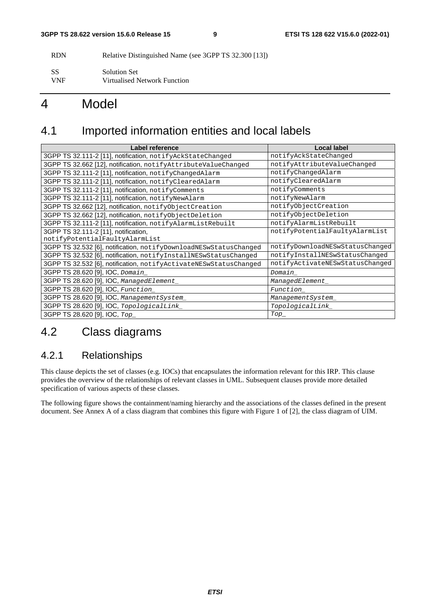RDN Relative Distinguished Name (see 3GPP TS 32.300 [13])

SS Solution Set VNF Virtualised Network Function

## 4 Model

## 4.1 Imported information entities and local labels

| Label reference                                                   | <b>Local label</b>              |
|-------------------------------------------------------------------|---------------------------------|
| 3GPP TS 32.111-2 [11], notification, notifyAckStateChanged        | notifyAckStateChanged           |
| 3GPP TS 32.662 [12], notification, notifyAttributeValueChanged    | notifyAttributeValueChanged     |
| 3GPP TS 32.111-2 [11], notification, notifyChangedAlarm           | notifyChangedAlarm              |
| 3GPP TS 32.111-2 [11], notification, notifyClearedAlarm           | notifyClearedAlarm              |
| 3GPP TS 32.111-2 [11], notification, notifyComments               | notifyComments                  |
| 3GPP TS 32.111-2 [11], notification, notifyNewAlarm               | notifyNewAlarm                  |
| 3GPP TS 32.662 [12], notification, notifyObjectCreation           | notifyObjectCreation            |
| 3GPP TS 32.662 [12], notification, notifyObjectDeletion           | notifyObjectDeletion            |
| 3GPP TS 32.111-2 [11], notification, notifyAlarmListRebuilt       | notifyAlarmListRebuilt          |
| 3GPP TS 32.111-2 [11], notification,                              | notifyPotentialFaultyAlarmList  |
| notifyPotentialFaultyAlarmList                                    |                                 |
| 3GPP TS 32.532 [6], notification, notifyDownloadNESwStatusChanged | notifyDownloadNESwStatusChanged |
| 3GPP TS 32.532 [6], notification, notifyInstallNESwStatusChanged  | notifyInstallNESwStatusChanged  |
| 3GPP TS 32.532 [6], notification, notifyActivateNESwStatusChanged | notifyActivateNESwStatusChanged |
| 3GPP TS 28.620 [9], IOC, Domain                                   | Domain                          |
| 3GPP TS 28.620 [9], IOC, ManagedElement_                          | ManagedElement_                 |
| 3GPP TS 28.620 [9], IOC, Function                                 | Function                        |
| 3GPP TS 28.620 [9], IOC, ManagementSystem_                        | ManagementSystem_               |
| 3GPP TS 28.620 [9], IOC, TopologicalLink_                         | TopologicalLink                 |
| 3GPP TS 28.620 [9], IOC, Top_                                     | $Top_{-}$                       |

## 4.2 Class diagrams

## 4.2.1 Relationships

This clause depicts the set of classes (e.g. IOCs) that encapsulates the information relevant for this IRP. This clause provides the overview of the relationships of relevant classes in UML. Subsequent clauses provide more detailed specification of various aspects of these classes.

The following figure shows the containment/naming hierarchy and the associations of the classes defined in the present document. See Annex A of a class diagram that combines this figure with Figure 1 of [2], the class diagram of UIM.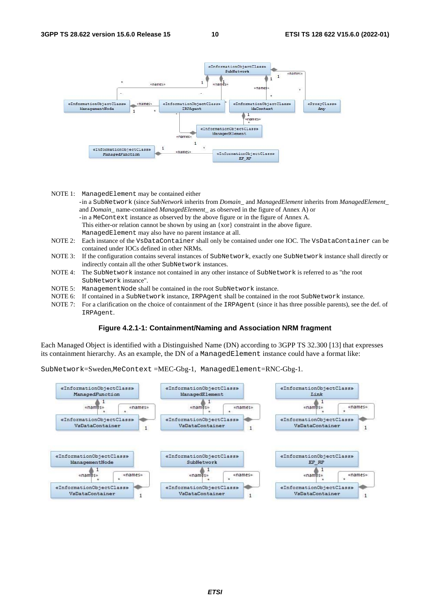

|            | NOTE 1: ManagedElement may be contained either                                                                           |
|------------|--------------------------------------------------------------------------------------------------------------------------|
|            | -in a SubNetwork (since SubNetwork inherits from Domain_ and ManagedElement inherits from ManagedElement_                |
|            | and <i>Domain</i> name-contained <i>ManagedElement</i> as observed in the figure of Annex A) or                          |
|            | -in a MeContext instance as observed by the above figure or in the figure of Annex A.                                    |
|            | This either-or relation cannot be shown by using an {xor} constraint in the above figure.                                |
|            | ManagedElement may also have no parent instance at all.                                                                  |
|            | NOTE 2: Each instance of the VsDataContainer shall only be contained under one IOC. The VsDataContainer can be           |
|            | contained under IOCs defined in other NRMs.                                                                              |
|            | NOTE 3: If the configuration contains several instances of SubNetwork, exactly one SubNetwork instance shall directly or |
|            | indirectly contain all the other SubNetwork instances.                                                                   |
| NOTE 4:    | The SubNetwork instance not contained in any other instance of SubNetwork is referred to as "the root                    |
|            | SubNetwork instance".                                                                                                    |
| NOTE $5$ : | Management Node shall be contained in the root SubNetwork instance.                                                      |
| NOTE 6:    | If contained in a SubNetwork instance, IRPAgent shall be contained in the root SubNetwork instance.                      |
|            |                                                                                                                          |

NOTE 7: For a clarification on the choice of containment of the IRPAgent (since it has three possible parents), see the def. of IRPAgent.

#### **Figure 4.2.1-1: Containment/Naming and Association NRM fragment**

Each Managed Object is identified with a Distinguished Name (DN) according to 3GPP TS 32.300 [13] that expresses its containment hierarchy. As an example, the DN of a ManagedElement instance could have a format like:

SubNetwork=Sweden,MeContext =MEC-Gbg-1, ManagedElement=RNC-Gbg-1.

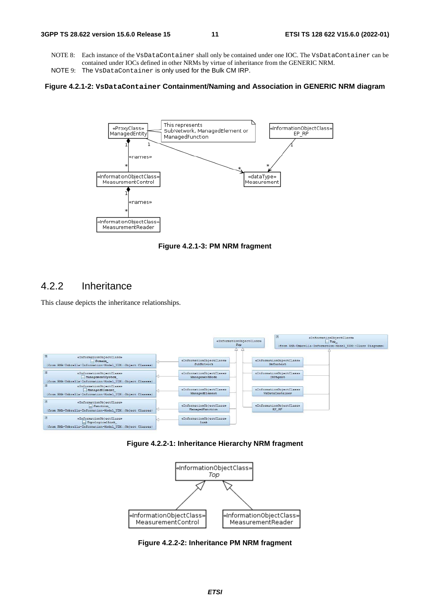- NOTE 8: Each instance of the VsDataContainer shall only be contained under one IOC. The VsDataContainer can be contained under IOCs defined in other NRMs by virtue of inheritance from the GENERIC NRM.
- NOTE 9: The VsDataContainer is only used for the Bulk CM IRP.

#### **Figure 4.2.1-2: VsDataContainer Containment/Naming and Association in GENERIC NRM diagram**



**Figure 4.2.1-3: PM NRM fragment** 

## 4.2.2 Inheritance

This clause depicts the inheritance relationships.



**Figure 4.2.2-1: Inheritance Hierarchy NRM fragment** 



**Figure 4.2.2-2: Inheritance PM NRM fragment**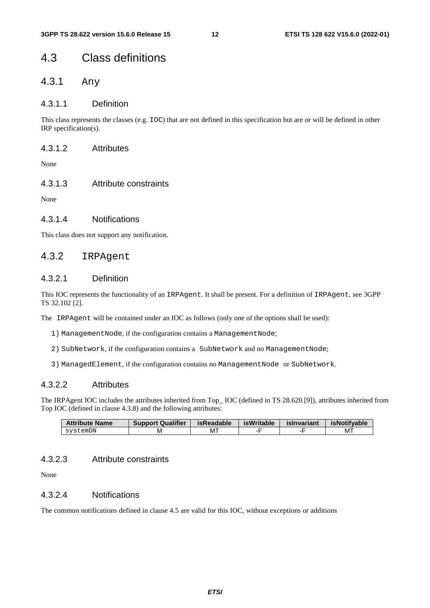## 4.3 Class definitions

## 4.3.1 Any

## 4.3.1.1 Definition

This class represents the classes (e.g. IOC) that are not defined in this specification but are or will be defined in other IRP specification(s).

### 4.3.1.2 Attributes

None

## 4.3.1.3 Attribute constraints

None

## 4.3.1.4 Notifications

This class does not support any notification.

## 4.3.2 IRPAgent

## 4.3.2.1 Definition

This IOC represents the functionality of an IRPAgent. It shall be present. For a definition of IRPAgent, see 3GPP TS 32.102 [2].

The IRPAgent will be contained under an IOC as follows (only one of the options shall be used):

- 1) ManagementNode, if the configuration contains a ManagementNode;
- 2) SubNetwork, if the configuration contains a SubNetwork and no ManagementNode;
- 3) ManagedElement, if the configuration contains no ManagementNode or SubNetwork.

## 4.3.2.2 Attributes

The IRPAgent IOC includes the attributes inherited from Top IOC (defined in TS 28.620 [9]), attributes inherited from Top IOC (defined in clause 4.3.8) and the following attributes:

| <b>Attribute Name</b> | <b>Support Qualifier</b> | isReadable | isWritable | islnvariant | isNotifvable |
|-----------------------|--------------------------|------------|------------|-------------|--------------|
| svstemDN              | M                        | M.         |            |             | МT           |

## 4.3.2.3 Attribute constraints

None

## 4.3.2.4 Notifications

The common notifications defined in clause 4.5 are valid for this IOC, without exceptions or additions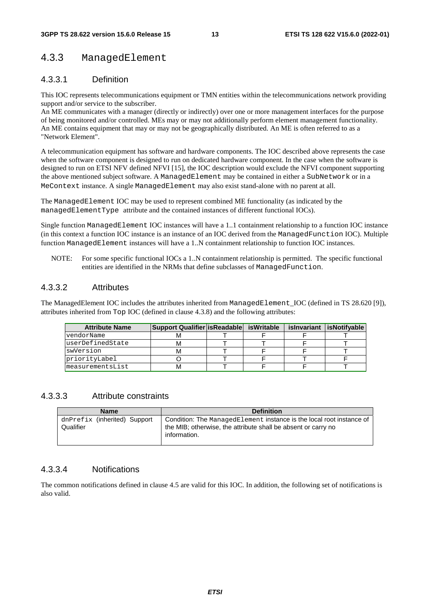## 4.3.3 ManagedElement

## 4.3.3.1 Definition

This IOC represents telecommunications equipment or TMN entities within the telecommunications network providing support and/or service to the subscriber.

An ME communicates with a manager (directly or indirectly) over one or more management interfaces for the purpose of being monitored and/or controlled. MEs may or may not additionally perform element management functionality. An ME contains equipment that may or may not be geographically distributed. An ME is often referred to as a "Network Element".

A telecommunication equipment has software and hardware components. The IOC described above represents the case when the software component is designed to run on dedicated hardware component. In the case when the software is designed to run on ETSI NFV defined NFVI [15], the IOC description would exclude the NFVI component supporting the above mentioned subject software. A ManagedElement may be contained in either a SubNetwork or in a MeContext instance. A single ManagedElement may also exist stand-alone with no parent at all.

The ManagedElement IOC may be used to represent combined ME functionality (as indicated by the managedElementType attribute and the contained instances of different functional IOCs).

Single function ManagedElement IOC instances will have a 1..1 containment relationship to a function IOC instance (in this context a function IOC instance is an instance of an IOC derived from the ManagedFunction IOC). Multiple function ManagedElement instances will have a 1..N containment relationship to function IOC instances.

NOTE: For some specific functional IOCs a 1..N containment relationship is permitted. The specific functional entities are identified in the NRMs that define subclasses of ManagedFunction.

## 4.3.3.2 Attributes

The ManagedElement IOC includes the attributes inherited from ManagedElement\_IOC (defined in TS 28.620 [9]), attributes inherited from Top IOC (defined in clause 4.3.8) and the following attributes:

| <b>Attribute Name</b> | Support Qualifier   is Readable   is Writable |  | islnvariant lisNotifvable |
|-----------------------|-----------------------------------------------|--|---------------------------|
| vendorName            | M                                             |  |                           |
| luserDefinedState     | М                                             |  |                           |
| swVersion             | М                                             |  |                           |
| priorityLabel         |                                               |  |                           |
| measurementsList      | м                                             |  |                           |

### 4.3.3.3 Attribute constraints

| <b>Name</b>                               | <b>Definition</b>                                                                                                                                     |
|-------------------------------------------|-------------------------------------------------------------------------------------------------------------------------------------------------------|
| dnPrefix (inherited) Support<br>Qualifier | Condition: The ManagedElement instance is the local root instance of<br>the MIB; otherwise, the attribute shall be absent or carry no<br>information. |

## 4.3.3.4 Notifications

The common notifications defined in clause 4.5 are valid for this IOC. In addition, the following set of notifications is also valid.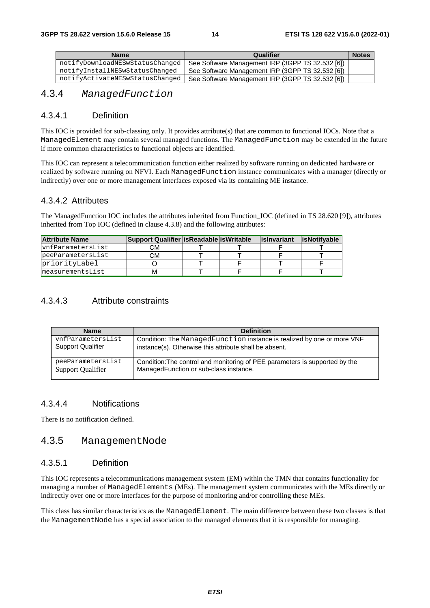| <b>Name</b>                     | Qualifier                                        | <b>Notes</b> |
|---------------------------------|--------------------------------------------------|--------------|
| notifyDownloadNESwStatusChanged | See Software Management IRP (3GPP TS 32.532 [6]) |              |
| notifyInstallNESwStatusChanged  | See Software Management IRP (3GPP TS 32.532 [6]) |              |
| notifyActivateNESwStatusChanged | See Software Management IRP (3GPP TS 32.532 [6]) |              |

## 4.3.4 *ManagedFunction*

## 4.3.4.1 Definition

This IOC is provided for sub-classing only. It provides attribute(s) that are common to functional IOCs. Note that a ManagedElement may contain several managed functions. The ManagedFunction may be extended in the future if more common characteristics to functional objects are identified.

This IOC can represent a telecommunication function either realized by software running on dedicated hardware or realized by software running on NFVI. Each ManagedFunction instance communicates with a manager (directly or indirectly) over one or more management interfaces exposed via its containing ME instance.

#### 4.3.4.2 Attributes

The ManagedFunction IOC includes the attributes inherited from Function\_IOC (defined in TS 28.620 [9]), attributes inherited from Top IOC (defined in clause 4.3.8) and the following attributes:

| <b>Attribute Name</b> | Support Qualifier   isReadable   isWritable |  | lislnyariant | <b>lisNotifvable</b> |
|-----------------------|---------------------------------------------|--|--------------|----------------------|
| vnfParametersList     | CМ                                          |  |              |                      |
| peeParametersList     | СM                                          |  |              |                      |
| priorityLabel         |                                             |  |              |                      |
| measurementsList      |                                             |  |              |                      |

## 4.3.4.3 Attribute constraints

| <b>Name</b>              | <b>Definition</b>                                                           |
|--------------------------|-----------------------------------------------------------------------------|
| vnfParametersList        | Condition: The ManagedFunction instance is realized by one or more VNF      |
| <b>Support Qualifier</b> | instance(s). Otherwise this attribute shall be absent.                      |
| peeParametersList        | Condition: The control and monitoring of PEE parameters is supported by the |
| <b>Support Qualifier</b> | ManagedFunction or sub-class instance.                                      |

## 4.3.4.4 Notifications

There is no notification defined.

## 4.3.5 ManagementNode

### 4.3.5.1 Definition

This IOC represents a telecommunications management system (EM) within the TMN that contains functionality for managing a number of ManagedElements (MEs). The management system communicates with the MEs directly or indirectly over one or more interfaces for the purpose of monitoring and/or controlling these MEs.

This class has similar characteristics as the ManagedElement. The main difference between these two classes is that the ManagementNode has a special association to the managed elements that it is responsible for managing.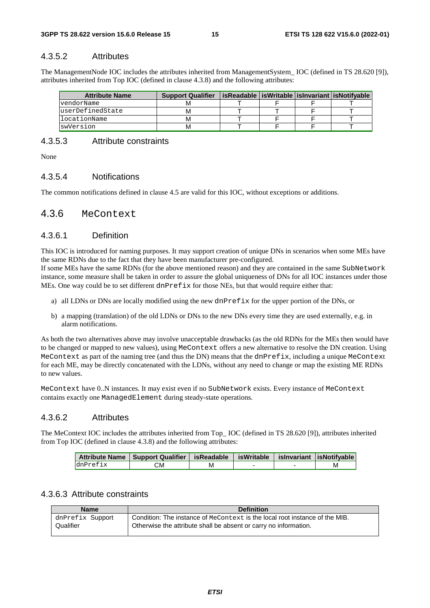## 4.3.5.2 Attributes

The ManagementNode IOC includes the attributes inherited from ManagementSystem\_ IOC (defined in TS 28.620 [9]), attributes inherited from Top IOC (defined in clause 4.3.8) and the following attributes:

| <b>Attribute Name</b> | <b>Support Qualifier</b> | isReadable   isWritable   isInvariant   isNotifvable |  |  |
|-----------------------|--------------------------|------------------------------------------------------|--|--|
| vendorName            |                          |                                                      |  |  |
| luserDefinedState     |                          |                                                      |  |  |
| llocationName         |                          |                                                      |  |  |
| swVersion             |                          |                                                      |  |  |

## 4.3.5.3 Attribute constraints

None

#### 4.3.5.4 Notifications

The common notifications defined in clause 4.5 are valid for this IOC, without exceptions or additions.

## 4.3.6 MeContext

### 4.3.6.1 Definition

This IOC is introduced for naming purposes. It may support creation of unique DNs in scenarios when some MEs have the same RDNs due to the fact that they have been manufacturer pre-configured.

If some MEs have the same RDNs (for the above mentioned reason) and they are contained in the same SubNetwork instance, some measure shall be taken in order to assure the global uniqueness of DNs for all IOC instances under those MEs. One way could be to set different dnPrefix for those NEs, but that would require either that:

- a) all LDNs or DNs are locally modified using the new dnPrefix for the upper portion of the DNs, or
- b) a mapping (translation) of the old LDNs or DNs to the new DNs every time they are used externally, e.g. in alarm notifications.

As both the two alternatives above may involve unacceptable drawbacks (as the old RDNs for the MEs then would have to be changed or mapped to new values), using MeContext offers a new alternative to resolve the DN creation. Using MeContext as part of the naming tree (and thus the DN) means that the dnPrefix, including a unique MeContext for each ME, may be directly concatenated with the LDNs, without any need to change or map the existing ME RDNs to new values.

MeContext have 0..N instances. It may exist even if no SubNetwork exists. Every instance of MeContext contains exactly one ManagedElement during steady-state operations.

#### 4.3.6.2 Attributes

The MeContext IOC includes the attributes inherited from Top\_ IOC (defined in TS 28.620 [9]), attributes inherited from Top IOC (defined in clause 4.3.8) and the following attributes:

|          | Attribute Name   Support Qualifier   isReadable   isWritable   isInvariant   isNotifyable |   |  |  |
|----------|-------------------------------------------------------------------------------------------|---|--|--|
| dnPrefix | CМ                                                                                        | М |  |  |

### 4.3.6.3 Attribute constraints

| <b>Name</b>      | <b>Definition</b>                                                           |
|------------------|-----------------------------------------------------------------------------|
| dnPrefix Support | Condition: The instance of MeContext is the local root instance of the MIB. |
| Qualifier        | Otherwise the attribute shall be absent or carry no information.            |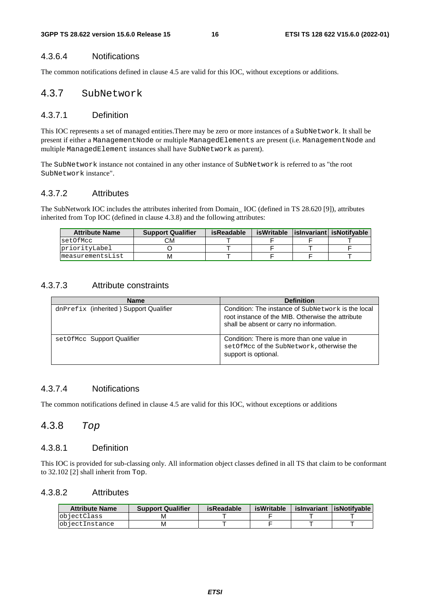## 4.3.6.4 Notifications

The common notifications defined in clause 4.5 are valid for this IOC, without exceptions or additions.

## 4.3.7 SubNetwork

## 4.3.7.1 Definition

This IOC represents a set of managed entities.There may be zero or more instances of a SubNetwork. It shall be present if either a ManagementNode or multiple ManagedElements are present (i.e. ManagementNode and multiple ManagedElement instances shall have SubNetwork as parent).

The SubNetwork instance not contained in any other instance of SubNetwork is referred to as "the root SubNetwork instance".

## 4.3.7.2 Attributes

The SubNetwork IOC includes the attributes inherited from Domain\_ IOC (defined in TS 28.620 [9]), attributes inherited from Top IOC (defined in clause 4.3.8) and the following attributes:

| <b>Attribute Name</b> | <b>Support Qualifier</b> | <b>isReadable</b> | isWritable | islnvariant  isNotifyable |
|-----------------------|--------------------------|-------------------|------------|---------------------------|
| setOfMcc              | CМ                       |                   |            |                           |
| priorityLabel         |                          |                   |            |                           |
| measurementsList      | М                        |                   |            |                           |

## 4.3.7.3 Attribute constraints

| <b>Name</b>                            | <b>Definition</b>                                                                                                                                   |
|----------------------------------------|-----------------------------------------------------------------------------------------------------------------------------------------------------|
| dnPrefix (inherited) Support Qualifier | Condition: The instance of SubNetwork is the local<br>root instance of the MIB. Otherwise the attribute<br>shall be absent or carry no information. |
| set Of Mcc Support Qualifier           | Condition: There is more than one value in<br>setOfMcc of the SubNetwork, otherwise the<br>support is optional.                                     |

## 4.3.7.4 Notifications

The common notifications defined in clause 4.5 are valid for this IOC, without exceptions or additions

## 4.3.8 *Top*

## 4.3.8.1 Definition

This IOC is provided for sub-classing only. All information object classes defined in all TS that claim to be conformant to 32.102 [2] shall inherit from Top.

## 4.3.8.2 Attributes

| <b>Attribute Name</b> | <b>Support Qualifier</b> | <b>isReadable</b> | isWritable | islnvariant | <b>LisNotifvable</b> |
|-----------------------|--------------------------|-------------------|------------|-------------|----------------------|
| objectClass           | M                        |                   |            |             |                      |
| objectInstance        | M                        |                   |            |             |                      |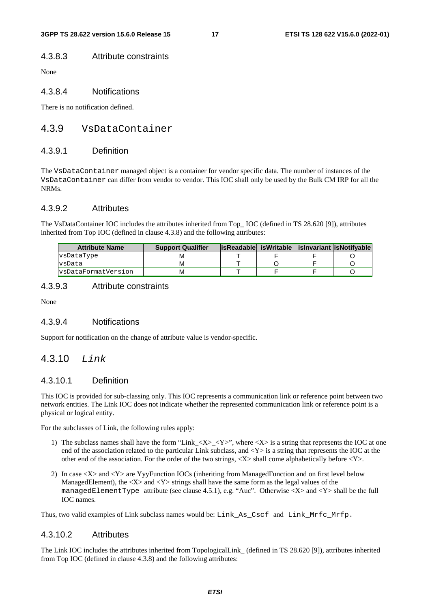## 4.3.8.3 Attribute constraints

None

## 4.3.8.4 Notifications

There is no notification defined.

## 4.3.9 VsDataContainer

## 4.3.9.1 Definition

The VsDataContainer managed object is a container for vendor specific data. The number of instances of the VsDataContainer can differ from vendor to vendor. This IOC shall only be used by the Bulk CM IRP for all the NRMs.

### 4.3.9.2 Attributes

The VsDataContainer IOC includes the attributes inherited from Top\_ IOC (defined in TS 28.620 [9]), attributes inherited from Top IOC (defined in clause 4.3.8) and the following attributes:

| <b>Attribute Name</b>      | <b>Support Qualifier</b> |  | lisReadable isWritable lisInvariant lisNotifvable |
|----------------------------|--------------------------|--|---------------------------------------------------|
| vsDataType                 |                          |  |                                                   |
| vsData                     | M                        |  |                                                   |
| <b>s</b> DataFormatVersion | м                        |  |                                                   |

## 4.3.9.3 Attribute constraints

None

## 4.3.9.4 Notifications

Support for notification on the change of attribute value is vendor-specific.

## 4.3.10 *Link*

## 4.3.10.1 Definition

This IOC is provided for sub-classing only. This IOC represents a communication link or reference point between two network entities. The Link IOC does not indicate whether the represented communication link or reference point is a physical or logical entity.

For the subclasses of Link, the following rules apply:

- 1) The subclass names shall have the form "Link\_<X>\_<Y>", where <X> is a string that represents the IOC at one end of the association related to the particular Link subclass, and  $\langle Y \rangle$  is a string that represents the IOC at the other end of the association. For the order of the two strings,  $\langle X \rangle$  shall come alphabetically before  $\langle Y \rangle$ .
- 2) In case <X> and <Y> are YyyFunction IOCs (inheriting from ManagedFunction and on first level below ManagedElement), the  $\langle X \rangle$  and  $\langle Y \rangle$  strings shall have the same form as the legal values of the managedElementType attribute (see clause 4.5.1), e.g. "Auc". Otherwise <X> and <Y> shall be the full IOC names.

Thus, two valid examples of Link subclass names would be: Link\_As\_Cscf and Link\_Mrfc\_Mrfp.

### 4.3.10.2 Attributes

The Link IOC includes the attributes inherited from TopologicalLink\_ (defined in TS 28.620 [9]), attributes inherited from Top IOC (defined in clause 4.3.8) and the following attributes: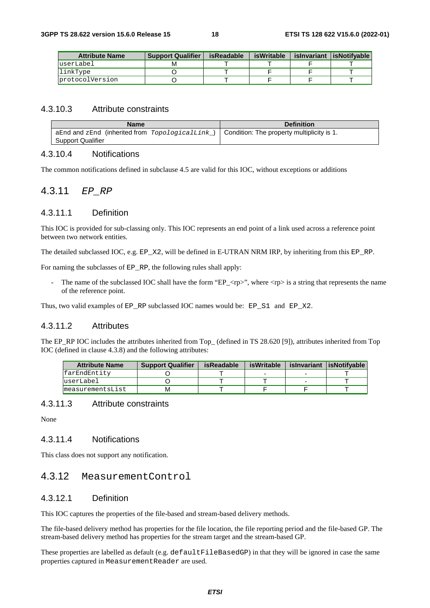| <b>Attribute Name</b> | <b>Support Qualifier</b> | isReadable | isWritable | isInvariant | isNotifvable |
|-----------------------|--------------------------|------------|------------|-------------|--------------|
| luserLabel            |                          |            |            |             |              |
| linkType              |                          |            |            |             |              |
| protocolVersion       |                          |            |            |             |              |

## 4.3.10.3 Attribute constraints

| Name                                                                                           | <b>Definition</b> |
|------------------------------------------------------------------------------------------------|-------------------|
| aEnd and zEnd (inherited from $TopologicalLink$ )   Condition: The property multiplicity is 1. |                   |
| <b>Support Qualifier</b>                                                                       |                   |

## 4.3.10.4 Notifications

The common notifications defined in subclause 4.5 are valid for this IOC, without exceptions or additions

## 4.3.11 *EP\_RP*

#### 4.3.11.1 Definition

This IOC is provided for sub-classing only. This IOC represents an end point of a link used across a reference point between two network entities.

The detailed subclassed IOC, e.g. EP\_X2, will be defined in E-UTRAN NRM IRP, by inheriting from this EP\_RP.

For naming the subclasses of EP\_RP, the following rules shall apply:

The name of the subclassed IOC shall have the form "EP\_ $\langle rp \rangle$ ", where  $\langle rp \rangle$  is a string that represents the name of the reference point.

Thus, two valid examples of EP\_RP subclassed IOC names would be: EP\_S1\_ and EP\_X2.

#### 4.3.11.2 Attributes

The EP\_RP IOC includes the attributes inherited from Top\_ (defined in TS 28.620 [9]), attributes inherited from Top IOC (defined in clause 4.3.8) and the following attributes:

| <b>Attribute Name</b> | <b>Support Qualifier</b> | isReadable | isWritable | isInvariant lisNotifvable |
|-----------------------|--------------------------|------------|------------|---------------------------|
| lfarEndEntitv         |                          |            |            |                           |
| userLabel             |                          |            |            |                           |
| ImeasurementsList     | M                        |            |            |                           |

#### 4.3.11.3 Attribute constraints

None

## 4.3.11.4 Notifications

This class does not support any notification.

## 4.3.12 MeasurementControl

## 4.3.12.1 Definition

This IOC captures the properties of the file-based and stream-based delivery methods.

The file-based delivery method has properties for the file location, the file reporting period and the file-based GP. The stream-based delivery method has properties for the stream target and the stream-based GP.

These properties are labelled as default (e.g. defaultFileBasedGP) in that they will be ignored in case the same properties captured in MeasurementReader are used.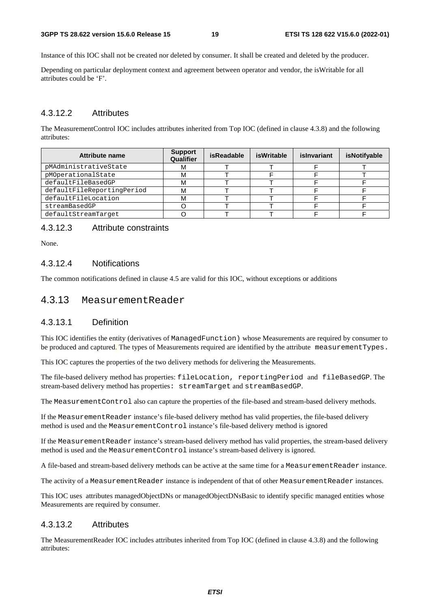Instance of this IOC shall not be created nor deleted by consumer. It shall be created and deleted by the producer.

Depending on particular deployment context and agreement between operator and vendor, the isWritable for all attributes could be 'F'.

### 4.3.12.2 Attributes

The MeasurementControl IOC includes attributes inherited from Top IOC (defined in clause 4.3.8) and the following attributes:

| Attribute name             | <b>Support</b><br>Qualifier | <b>isReadable</b> | isWritable | islnvariant | isNotifyable |
|----------------------------|-----------------------------|-------------------|------------|-------------|--------------|
| pMAdministrativeState      | м                           |                   |            |             |              |
| pMOperationalState         | м                           |                   |            |             |              |
| defaultFileBasedGP         | м                           |                   |            |             |              |
| defaultFileReportingPeriod | М                           |                   |            |             |              |
| defaultFileLocation        | м                           |                   |            |             |              |
| streamBasedGP              |                             |                   |            |             |              |
| defaultStreamTarget        |                             |                   |            |             |              |

### 4.3.12.3 Attribute constraints

None.

## 4.3.12.4 Notifications

The common notifications defined in clause 4.5 are valid for this IOC, without exceptions or additions

## 4.3.13 MeasurementReader

## 4.3.13.1 Definition

This IOC identifies the entity (derivatives of ManagedFunction) whose Measurements are required by consumer to be produced and captured. The types of Measurements required are identified by the attribute measurementTypes.

This IOC captures the properties of the two delivery methods for delivering the Measurements.

The file-based delivery method has properties: fileLocation, reportingPeriod and fileBasedGP. The stream-based delivery method has properties: streamTarget and streamBasedGP.

The MeasurementControl also can capture the properties of the file-based and stream-based delivery methods.

If the MeasurementReader instance's file-based delivery method has valid properties, the file-based delivery method is used and the MeasurementControl instance's file-based delivery method is ignored

If the MeasurementReader instance's stream-based delivery method has valid properties, the stream-based delivery method is used and the MeasurementControl instance's stream-based delivery is ignored.

A file-based and stream-based delivery methods can be active at the same time for a MeasurementReader instance.

The activity of a MeasurementReader instance is independent of that of other MeasurementReader instances.

This IOC uses attributes managedObjectDNs or managedObjectDNsBasic to identify specific managed entities whose Measurements are required by consumer.

#### 4.3.13.2 Attributes

The MeasurementReader IOC includes attributes inherited from Top IOC (defined in clause 4.3.8) and the following attributes: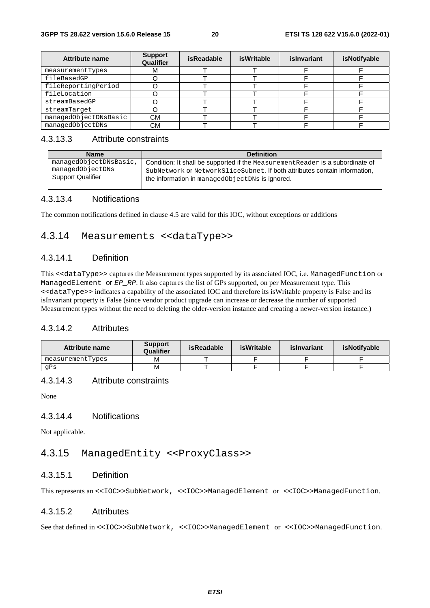| <b>Attribute name</b> | <b>Support</b><br>Qualifier | <b>isReadable</b> | <b>isWritable</b> | islnvariant | isNotifyable |
|-----------------------|-----------------------------|-------------------|-------------------|-------------|--------------|
| measurementTypes      | ΙVΙ                         |                   |                   |             |              |
| fileBasedGP           |                             |                   |                   |             |              |
| fileReportingPeriod   |                             |                   |                   |             |              |
| fileLocation          |                             |                   |                   |             |              |
| streamBasedGP         |                             |                   |                   |             |              |
| streamTarget          |                             |                   |                   |             |              |
| managedObjectDNsBasic | СМ                          |                   |                   |             |              |
| managedObjectDNs      | CМ                          |                   |                   |             |              |

## 4.3.13.3 Attribute constraints

| <b>Name</b>              | <b>Definition</b>                                                              |
|--------------------------|--------------------------------------------------------------------------------|
| managedObjectDNsBasic,   | Condition: It shall be supported if the Measurement Reader is a subordinate of |
| managedObjectDNs         | SubNetwork or NetworkSliceSubnet. If both attributes contain information,      |
| <b>Support Qualifier</b> | the information in managedObjectDNs is ignored.                                |

## 4.3.13.4 Notifications

The common notifications defined in clause 4.5 are valid for this IOC, without exceptions or additions

## 4.3.14 Measurements <<dataType>>

## 4.3.14.1 Definition

This <<dataType>> captures the Measurement types supported by its associated IOC, i.e. ManagedFunction or ManagedElement or *EP\_RP*. It also captures the list of GPs supported, on per Measurement type. This <<dataType>> indicates a capability of the associated IOC and therefore its isWritable property is False and its isInvariant property is False (since vendor product upgrade can increase or decrease the number of supported Measurement types without the need to deleting the older-version instance and creating a newer-version instance.)

## 4.3.14.2 Attributes

| Attribute name   | <b>Support</b><br>Qualifier | isReadable | isWritable | islnvariant | isNotifvable |
|------------------|-----------------------------|------------|------------|-------------|--------------|
| measurementTypes | М                           |            |            |             |              |
| qPs              | M                           |            |            |             |              |

## 4.3.14.3 Attribute constraints

None

### 4.3.14.4 Notifications

Not applicable.

## 4.3.15 ManagedEntity <<ProxyClass>>

## 4.3.15.1 Definition

This represents an <<IOC>>SubNetwork, <<IOC>>ManagedElement or <<IOC>>ManagedFunction.

## 4.3.15.2 Attributes

See that defined in <<IOC>>SubNetwork, <<IOC>>ManagedElement or <<IOC>>ManagedFunction.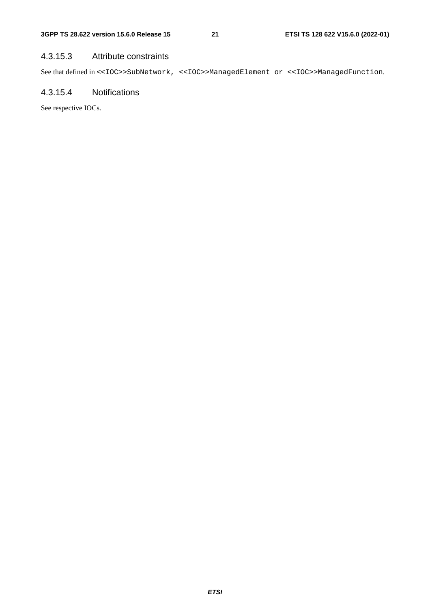## 4.3.15.3 Attribute constraints

See that defined in <<IOC>>SubNetwork, <<IOC>>ManagedElement or <<IOC>>ManagedFunction.

## 4.3.15.4 Notifications

See respective IOCs.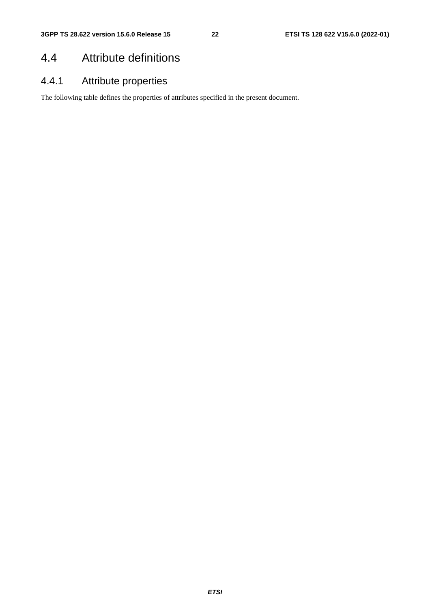## 4.4 Attribute definitions

## 4.4.1 Attribute properties

The following table defines the properties of attributes specified in the present document.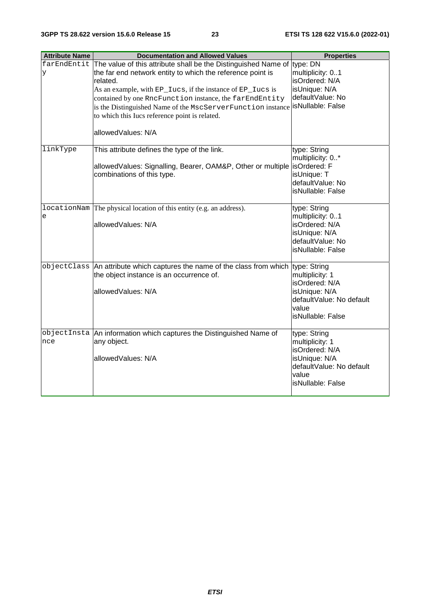| <b>Attribute Name</b> | <b>Documentation and Allowed Values</b>                                                                                                                                                                                                                                                                                                                                                                                                            | <b>Properties</b>                                                                                                            |
|-----------------------|----------------------------------------------------------------------------------------------------------------------------------------------------------------------------------------------------------------------------------------------------------------------------------------------------------------------------------------------------------------------------------------------------------------------------------------------------|------------------------------------------------------------------------------------------------------------------------------|
| y                     | farEndEntit The value of this attribute shall be the Distinguished Name of type: DN<br>the far end network entity to which the reference point is<br>related.<br>As an example, with EP_Iucs, if the instance of EP_Iucs is<br>contained by one RncFunction instance, the farEndEntity<br>is the Distinguished Name of the MscServerFunction instance   is Nullable: False<br>to which this Iucs reference point is related.<br>allowedValues: N/A | multiplicity: 01<br>isOrdered: N/A<br>isUnique: N/A<br>defaultValue: No                                                      |
| linkType              | This attribute defines the type of the link.<br>allowedValues: Signalling, Bearer, OAM&P, Other or multiple<br>combinations of this type.                                                                                                                                                                                                                                                                                                          | type: String<br>multiplicity: 0*<br>isOrdered: F<br>isUnique: T<br>defaultValue: No<br>isNullable: False                     |
| e                     | locationNam The physical location of this entity (e.g. an address).<br>allowedValues: N/A                                                                                                                                                                                                                                                                                                                                                          | type: String<br>multiplicity: 01<br>isOrdered: N/A<br>isUnique: N/A<br>defaultValue: No<br>isNullable: False                 |
|                       | objectClass An attribute which captures the name of the class from which type: String<br>the object instance is an occurrence of.<br>allowedValues: N/A                                                                                                                                                                                                                                                                                            | multiplicity: 1<br>isOrdered: N/A<br>isUnique: N/A<br>defaultValue: No default<br>value<br>isNullable: False                 |
| nce                   | objectInsta An information which captures the Distinguished Name of<br>any object.<br>allowedValues: N/A                                                                                                                                                                                                                                                                                                                                           | type: String<br>multiplicity: 1<br>isOrdered: N/A<br>isUnique: N/A<br>defaultValue: No default<br>value<br>isNullable: False |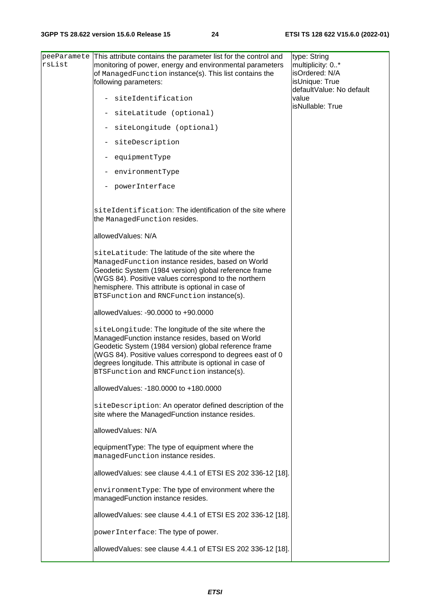| rsList | peeParamete This attribute contains the parameter list for the control and<br>monitoring of power, energy and environmental parameters<br>of ManagedFunction instance(s). This list contains the<br>following parameters:                                                                                                            | type: String<br>multiplicity: 0*<br>isOrdered: N/A<br>isUnique: True<br>defaultValue: No default |
|--------|--------------------------------------------------------------------------------------------------------------------------------------------------------------------------------------------------------------------------------------------------------------------------------------------------------------------------------------|--------------------------------------------------------------------------------------------------|
|        | siteIdentification                                                                                                                                                                                                                                                                                                                   | value<br>isNullable: True                                                                        |
|        | siteLatitude (optional)                                                                                                                                                                                                                                                                                                              |                                                                                                  |
|        | siteLongitude (optional)                                                                                                                                                                                                                                                                                                             |                                                                                                  |
|        | siteDescription                                                                                                                                                                                                                                                                                                                      |                                                                                                  |
|        | equipmentType                                                                                                                                                                                                                                                                                                                        |                                                                                                  |
|        | environmentType                                                                                                                                                                                                                                                                                                                      |                                                                                                  |
|        | powerInterface                                                                                                                                                                                                                                                                                                                       |                                                                                                  |
|        | siteIdentification: The identification of the site where<br>the ManagedFunction resides.                                                                                                                                                                                                                                             |                                                                                                  |
|        | allowedValues: N/A                                                                                                                                                                                                                                                                                                                   |                                                                                                  |
|        | siteLatitude: The latitude of the site where the<br>ManagedFunction instance resides, based on World<br>Geodetic System (1984 version) global reference frame<br>(WGS 84). Positive values correspond to the northern<br>hemisphere. This attribute is optional in case of<br>BTSFunction and RNCFunction instance(s).               |                                                                                                  |
|        | allowed Values: -90,0000 to +90,0000                                                                                                                                                                                                                                                                                                 |                                                                                                  |
|        | siteLongitude: The longitude of the site where the<br>ManagedFunction instance resides, based on World<br>Geodetic System (1984 version) global reference frame<br>(WGS 84). Positive values correspond to degrees east of 0<br>degrees longitude. This attribute is optional in case of<br>BTSFunction and RNCFunction instance(s). |                                                                                                  |
|        | allowedValues: -180.0000 to +180.0000                                                                                                                                                                                                                                                                                                |                                                                                                  |
|        | siteDescription: An operator defined description of the<br>site where the ManagedFunction instance resides.                                                                                                                                                                                                                          |                                                                                                  |
|        | allowedValues: N/A                                                                                                                                                                                                                                                                                                                   |                                                                                                  |
|        | equipmentType: The type of equipment where the<br>managedFunction instance resides.                                                                                                                                                                                                                                                  |                                                                                                  |
|        | allowedValues: see clause 4.4.1 of ETSI ES 202 336-12 [18].                                                                                                                                                                                                                                                                          |                                                                                                  |
|        | environmentType: The type of environment where the<br>managedFunction instance resides.                                                                                                                                                                                                                                              |                                                                                                  |
|        | allowedValues: see clause 4.4.1 of ETSI ES 202 336-12 [18].                                                                                                                                                                                                                                                                          |                                                                                                  |
|        | powerInterface: The type of power.                                                                                                                                                                                                                                                                                                   |                                                                                                  |
|        | allowedValues: see clause 4.4.1 of ETSI ES 202 336-12 [18].                                                                                                                                                                                                                                                                          |                                                                                                  |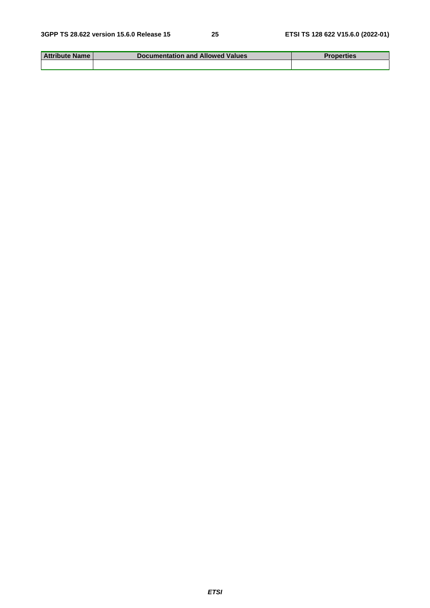| <b>Attribute Name</b> | <b>Documentation and Allowed Values</b> | <b>Properties</b> |
|-----------------------|-----------------------------------------|-------------------|
|                       |                                         |                   |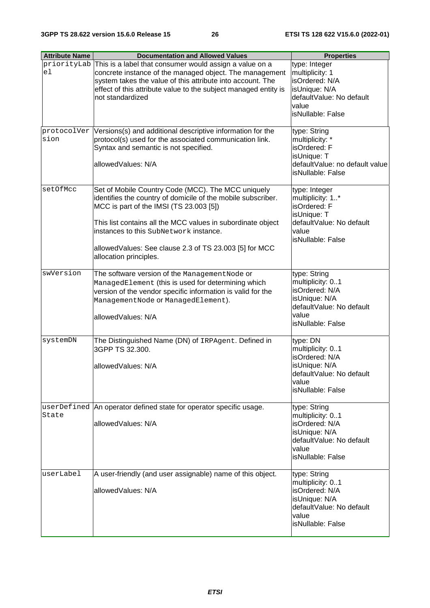| <b>Attribute Name</b> | <b>Documentation and Allowed Values</b>                                                                                                                                                                                                                                                                                                                    | <b>Properties</b>                                                                                                             |
|-----------------------|------------------------------------------------------------------------------------------------------------------------------------------------------------------------------------------------------------------------------------------------------------------------------------------------------------------------------------------------------------|-------------------------------------------------------------------------------------------------------------------------------|
| priorityLab<br>el     | This is a label that consumer would assign a value on a<br>concrete instance of the managed object. The management<br>system takes the value of this attribute into account. The<br>effect of this attribute value to the subject managed entity is<br>not standardized                                                                                    | type: Integer<br>multiplicity: 1<br>isOrdered: N/A<br>isUnique: N/A<br>defaultValue: No default<br>value<br>isNullable: False |
| sion                  | protocolVer Versions(s) and additional descriptive information for the<br>protocol(s) used for the associated communication link.<br>Syntax and semantic is not specified.<br>allowedValues: N/A                                                                                                                                                           | type: String<br>multiplicity: *<br>isOrdered: F<br>isUnique: T<br>defaultValue: no default value<br>isNullable: False         |
| setOfMcc              | Set of Mobile Country Code (MCC). The MCC uniquely<br>identifies the country of domicile of the mobile subscriber.<br>MCC is part of the IMSI (TS 23.003 [5])<br>This list contains all the MCC values in subordinate object<br>instances to this SubNetwork instance.<br>allowedValues: See clause 2.3 of TS 23.003 [5] for MCC<br>allocation principles. | type: Integer<br>multiplicity: 1*<br>isOrdered: F<br>isUnique: T<br>defaultValue: No default<br>value<br>isNullable: False    |
| swVersion             | The software version of the Management Node or<br>ManagedElement (this is used for determining which<br>version of the vendor specific information is valid for the<br>ManagementNode Or ManagedElement).<br>allowedValues: N/A                                                                                                                            | type: String<br>multiplicity: 01<br>isOrdered: N/A<br>isUnique: N/A<br>defaultValue: No default<br>value<br>isNullable: False |
| systemDN              | The Distinguished Name (DN) of IRPAgent. Defined in<br>3GPP TS 32.300.<br>allowedValues: N/A                                                                                                                                                                                                                                                               | type: DN<br>multiplicity: 01<br>isOrdered: N/A<br>isUnique: N/A<br>defaultValue: No default<br>value<br>isNullable: False     |
| State                 | userDefined An operator defined state for operator specific usage.<br>allowedValues: N/A                                                                                                                                                                                                                                                                   | type: String<br>multiplicity: 01<br>isOrdered: N/A<br>isUnique: N/A<br>defaultValue: No default<br>value<br>isNullable: False |
| userLabel             | A user-friendly (and user assignable) name of this object.<br>allowedValues: N/A                                                                                                                                                                                                                                                                           | type: String<br>multiplicity: 01<br>isOrdered: N/A<br>isUnique: N/A<br>defaultValue: No default<br>value<br>isNullable: False |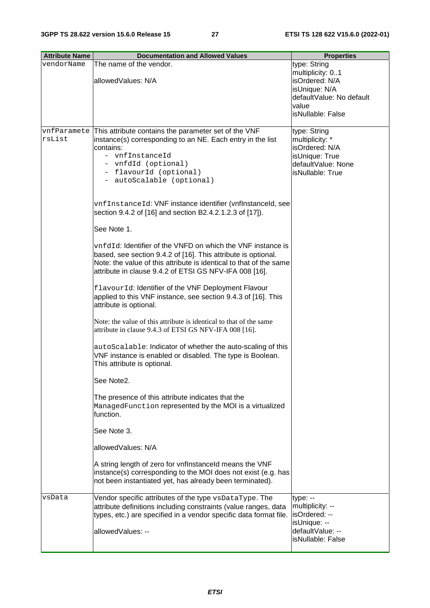| <b>Attribute Name</b> | <b>Documentation and Allowed Values</b>                                                                                                                                                                                                                      | <b>Properties</b>                                                                                                             |
|-----------------------|--------------------------------------------------------------------------------------------------------------------------------------------------------------------------------------------------------------------------------------------------------------|-------------------------------------------------------------------------------------------------------------------------------|
| vendorName            | The name of the vendor.<br>allowedValues: N/A                                                                                                                                                                                                                | type: String<br>multiplicity: 01<br>isOrdered: N/A<br>isUnique: N/A<br>defaultValue: No default<br>value<br>isNullable: False |
| rsList                | vnfParamete This attribute contains the parameter set of the VNF<br>instance(s) corresponding to an NE. Each entry in the list<br>contains:<br>- vnfInstanceId<br>- vnfdId (optional)<br>- flavourId (optional)<br>- autoScalable (optional)                 | type: String<br>multiplicity: *<br>isOrdered: N/A<br>isUnique: True<br>defaultValue: None<br>isNullable: True                 |
|                       | vnfInstanceId: VNF instance identifier (vnflnstanceId, see<br>section 9.4.2 of [16] and section B2.4.2.1.2.3 of [17]).                                                                                                                                       |                                                                                                                               |
|                       | See Note 1.                                                                                                                                                                                                                                                  |                                                                                                                               |
|                       | vnfdId: Identifier of the VNFD on which the VNF instance is<br>based, see section 9.4.2 of [16]. This attribute is optional.<br>Note: the value of this attribute is identical to that of the same<br>attribute in clause 9.4.2 of ETSI GS NFV-IFA 008 [16]. |                                                                                                                               |
|                       | flavourId: Identifier of the VNF Deployment Flavour<br>applied to this VNF instance, see section 9.4.3 of [16]. This<br>attribute is optional.                                                                                                               |                                                                                                                               |
|                       | Note: the value of this attribute is identical to that of the same<br>attribute in clause 9.4.3 of ETSI GS NFV-IFA 008 [16].                                                                                                                                 |                                                                                                                               |
|                       | autoScalable: Indicator of whether the auto-scaling of this<br>VNF instance is enabled or disabled. The type is Boolean.<br>This attribute is optional.                                                                                                      |                                                                                                                               |
|                       | See Note2.                                                                                                                                                                                                                                                   |                                                                                                                               |
|                       | The presence of this attribute indicates that the<br>ManagedFunction represented by the MOI is a virtualized<br>function.                                                                                                                                    |                                                                                                                               |
|                       | See Note 3.                                                                                                                                                                                                                                                  |                                                                                                                               |
|                       | allowedValues: N/A                                                                                                                                                                                                                                           |                                                                                                                               |
|                       | A string length of zero for vnflnstanceld means the VNF<br>instance(s) corresponding to the MOI does not exist (e.g. has<br>not been instantiated yet, has already been terminated).                                                                         |                                                                                                                               |
| vsData                | Vendor specific attributes of the type vsDataType. The<br>attribute definitions including constraints (value ranges, data<br>types, etc.) are specified in a vendor specific data format file.<br>allowedValues: --                                          | type: --<br>multiplicity: --<br>isOrdered: --<br>isUnique: --<br>defaultValue: --<br>isNullable: False                        |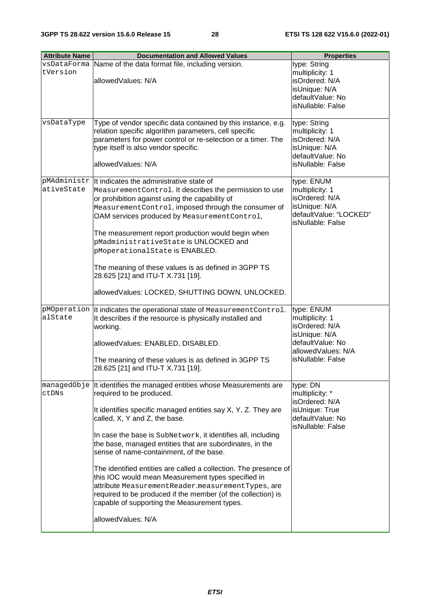| <b>Attribute Name</b>     | <b>Documentation and Allowed Values</b>                                                                                                                                                                                                                                                                                                                                                                                                                                                                                                                                                                                                                                                           | <b>Properties</b>                                                                                                               |
|---------------------------|---------------------------------------------------------------------------------------------------------------------------------------------------------------------------------------------------------------------------------------------------------------------------------------------------------------------------------------------------------------------------------------------------------------------------------------------------------------------------------------------------------------------------------------------------------------------------------------------------------------------------------------------------------------------------------------------------|---------------------------------------------------------------------------------------------------------------------------------|
| tVersion                  | vsDataForma Name of the data format file, including version.<br>allowedValues: N/A                                                                                                                                                                                                                                                                                                                                                                                                                                                                                                                                                                                                                | type: String<br>multiplicity: 1<br>isOrdered: N/A<br>isUnique: N/A<br>defaultValue: No<br>isNullable: False                     |
| vsDataType                | Type of vendor specific data contained by this instance, e.g.<br>relation specific algorithm parameters, cell specific<br>parameters for power control or re-selection or a timer. The<br>type itself is also vendor specific.<br>allowedValues: N/A                                                                                                                                                                                                                                                                                                                                                                                                                                              | type: String<br>multiplicity: 1<br>isOrdered: N/A<br>isUnique: N/A<br>defaultValue: No<br>isNullable: False                     |
| pMAdministr<br>ativeState | It indicates the administrative state of<br>MeasurementControl. It describes the permission to use<br>or prohibition against using the capability of<br>MeasurementControl, imposed through the consumer of<br>OAM services produced by MeasurementControl,<br>The measurement report production would begin when<br>pMadministrativeState is UNLOCKED and<br>pMoperationalState is ENABLED.<br>The meaning of these values is as defined in 3GPP TS<br>28.625 [21] and ITU-T X.731 [19].<br>allowedValues: LOCKED, SHUTTING DOWN, UNLOCKED.                                                                                                                                                      | type: ENUM<br>multiplicity: 1<br>isOrdered: N/A<br>isUnique: N/A<br>defaultValue: "LOCKED"<br>isNullable: False                 |
| pMOperation<br>alState    | It indicates the operational state of Measurement Control.<br>It describes if the resource is physically installed and<br>working.<br>allowedValues: ENABLED, DISABLED.<br>The meaning of these values is as defined in 3GPP TS<br>28.625 [21] and ITU-T X.731 [19].                                                                                                                                                                                                                                                                                                                                                                                                                              | type: ENUM<br>multiplicity: 1<br>isOrdered: N/A<br>isUnique: N/A<br>defaultValue: No<br>allowedValues: N/A<br>isNullable: False |
| ctDNs                     | managedObje It identifies the managed entities whose Measurements are<br>required to be produced.<br>It identifies specific managed entities say X, Y, Z. They are<br>called, X, Y and Z, the base.<br>In case the base is SubNetwork, it identifies all, including<br>the base, managed entities that are subordinates, in the<br>sense of name-containment, of the base.<br>The identified entities are called a collection. The presence of<br>this IOC would mean Measurement types specified in<br>attribute Measurement Reader.measurement Types, are<br>required to be produced if the member (of the collection) is<br>capable of supporting the Measurement types.<br>allowedValues: N/A | type: DN<br>multiplicity: *<br>isOrdered: N/A<br>isUnique: True<br>defaultValue: No<br>isNullable: False                        |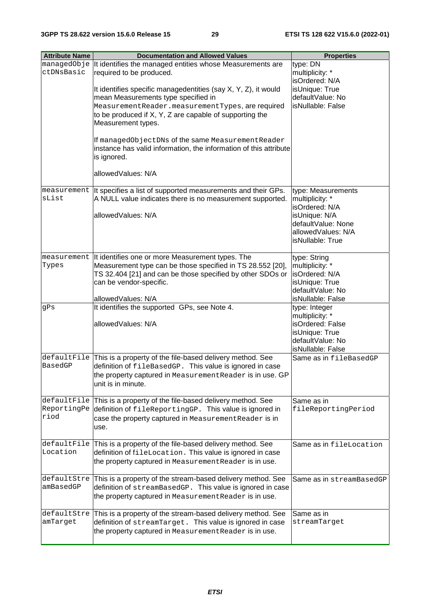| <b>Attribute Name</b>              | <b>Documentation and Allowed Values</b>                                                                                                                                                                                                    | <b>Properties</b>                                                                                                                        |
|------------------------------------|--------------------------------------------------------------------------------------------------------------------------------------------------------------------------------------------------------------------------------------------|------------------------------------------------------------------------------------------------------------------------------------------|
| ctDNsBasic                         | managedObje It identifies the managed entities whose Measurements are<br>required to be produced.                                                                                                                                          | type: DN<br>multiplicity: *<br>isOrdered: N/A                                                                                            |
|                                    | It identifies specific managedentities (say X, Y, Z), it would<br>mean Measurements type specified in<br>MeasurementReader.measurementTypes, are required<br>to be produced if X, Y, Z are capable of supporting the<br>Measurement types. | isUnique: True<br>defaultValue: No<br>isNullable: False                                                                                  |
|                                    | If managedObjectDNs of the same MeasurementReader<br>instance has valid information, the information of this attribute<br>is ignored.<br>allowedValues: N/A                                                                                |                                                                                                                                          |
|                                    |                                                                                                                                                                                                                                            |                                                                                                                                          |
| sList                              | measurement  It specifies a list of supported measurements and their GPs.<br>A NULL value indicates there is no measurement supported.<br>allowedValues: N/A                                                                               | type: Measurements<br>multiplicity: *<br>isOrdered: N/A<br>isUnique: N/A<br>defaultValue: None<br>allowedValues: N/A<br>isNullable: True |
| Types                              | measurement It identifies one or more Measurement types. The<br>Measurement type can be those specified in TS 28.552 [20],<br>TS 32.404 [21] and can be those specified by other SDOs or<br>can be vendor-specific.                        | type: String<br>multiplicity: *<br>isOrdered: N/A<br>isUnique: True<br>defaultValue: No                                                  |
|                                    | allowedValues: N/A                                                                                                                                                                                                                         | isNullable: False                                                                                                                        |
| gPs                                | It identifies the supported GPs, see Note 4.<br>allowedValues: N/A                                                                                                                                                                         | type: Integer<br>multiplicity: *<br>isOrdered: False<br>isUnique: True<br>defaultValue: No<br>isNullable: False                          |
| defaultFile                        | This is a property of the file-based delivery method. See                                                                                                                                                                                  | Same as in fileBasedGP                                                                                                                   |
| <b>BasedGP</b>                     | definition of fileBasedGP. This value is ignored in case<br>the property captured in Measurement Reader is in use. GP<br>unit is in minute.                                                                                                |                                                                                                                                          |
| defaultFile<br>ReportingPe<br>riod | This is a property of the file-based delivery method. See<br>definition of fileReportingGP. This value is ignored in<br>case the property captured in Measurement Reader is in<br>use.                                                     | Same as in<br>fileReportingPeriod                                                                                                        |
| defaultFile<br>Location            | This is a property of the file-based delivery method. See<br>definition of fileLocation. This value is ignored in case<br>the property captured in Measurement Reader is in use.                                                           | Same as in fileLocation                                                                                                                  |
| defaultStre<br>amBasedGP           | This is a property of the stream-based delivery method. See<br>definition of streamBasedGP. This value is ignored in case<br>the property captured in Measurement Reader is in use.                                                        | Same as in streamBasedGP                                                                                                                 |
| defaultStre<br>amTarget            | This is a property of the stream-based delivery method. See<br>definition of streamTarget. This value is ignored in case<br>the property captured in Measurement Reader is in use.                                                         | Same as in<br>streamTarget                                                                                                               |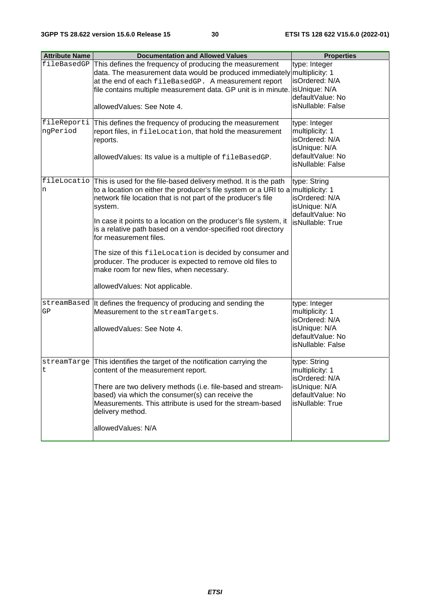| <b>Attribute Name</b>   | <b>Documentation and Allowed Values</b>                                                                                                                                                                                                                                                                                                                                                                                                                                                                                                                                                                            | <b>Properties</b>                                                                                            |
|-------------------------|--------------------------------------------------------------------------------------------------------------------------------------------------------------------------------------------------------------------------------------------------------------------------------------------------------------------------------------------------------------------------------------------------------------------------------------------------------------------------------------------------------------------------------------------------------------------------------------------------------------------|--------------------------------------------------------------------------------------------------------------|
| fileBasedGP             | This defines the frequency of producing the measurement<br>data. The measurement data would be produced immediately multiplicity: 1<br>at the end of each fileBasedGP. A measurement report<br>file contains multiple measurement data. GP unit is in minute.<br>allowedValues: See Note 4.                                                                                                                                                                                                                                                                                                                        | type: Integer<br>isOrdered: N/A<br>IsUnique: N/A<br>defaultValue: No<br>isNullable: False                    |
| fileReporti<br>ngPeriod | This defines the frequency of producing the measurement<br>report files, in fileLocation, that hold the measurement<br>reports.<br>allowedValues: Its value is a multiple of fileBasedGP.                                                                                                                                                                                                                                                                                                                                                                                                                          | type: Integer<br>multiplicity: 1<br>isOrdered: N/A<br>isUnique: N/A<br>defaultValue: No<br>isNullable: False |
| n                       | fileLocatio This is used for the file-based delivery method. It is the path<br>to a location on either the producer's file system or a URI to a multiplicity: 1<br>network file location that is not part of the producer's file<br>system.<br>In case it points to a location on the producer's file system, it<br>is a relative path based on a vendor-specified root directory<br>for measurement files.<br>The size of this fileLocation is decided by consumer and<br>producer. The producer is expected to remove old files to<br>make room for new files, when necessary.<br>allowedValues: Not applicable. | type: String<br>isOrdered: N/A<br>isUnique: N/A<br>defaultValue: No<br>isNullable: True                      |
| GP                      | streamBased  It defines the frequency of producing and sending the<br>Measurement to the streamTargets.<br>allowedValues: See Note 4.                                                                                                                                                                                                                                                                                                                                                                                                                                                                              | type: Integer<br>multiplicity: 1<br>isOrdered: N/A<br>isUnique: N/A<br>defaultValue: No<br>isNullable: False |
| streamTarge<br>t        | This identifies the target of the notification carrying the<br>content of the measurement report.<br>There are two delivery methods (i.e. file-based and stream-<br>based) via which the consumer(s) can receive the<br>Measurements. This attribute is used for the stream-based<br>delivery method.<br>allowedValues: N/A                                                                                                                                                                                                                                                                                        | type: String<br>multiplicity: 1<br>isOrdered: N/A<br>isUnique: N/A<br>defaultValue: No<br>isNullable: True   |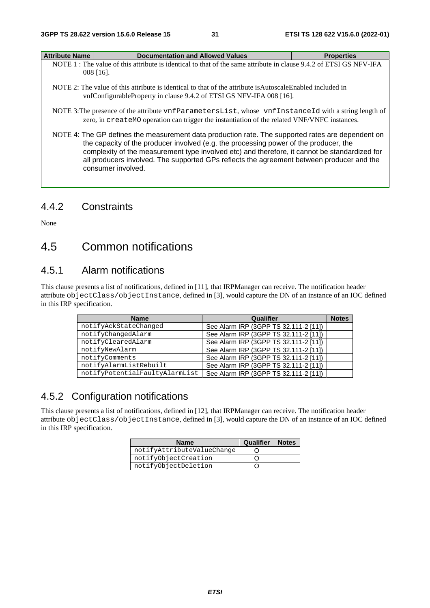| <b>Attribute Name</b> | <b>Documentation and Allowed Values</b>                                                                                                                                                                  | <b>Properties</b> |
|-----------------------|----------------------------------------------------------------------------------------------------------------------------------------------------------------------------------------------------------|-------------------|
|                       | NOTE 1 : The value of this attribute is identical to that of the same attribute in clause 9.4.2 of ETSI GS NFV-IFA                                                                                       |                   |
|                       | $008$ [16].                                                                                                                                                                                              |                   |
|                       | NOTE 2: The value of this attribute is identical to that of the attribute is Autoscale Enabled included in<br>vnfConfigurableProperty in clause 9.4.2 of ETSI GS NFV-IFA 008 [16].                       |                   |
|                       | NOTE 3: The presence of the attribute vnf Parameters List, whose vnf Instance Id with a string length of<br>zero, in createMO operation can trigger the instantiation of the related VNF/VNFC instances. |                   |
|                       | NOTE 4: The GP defines the measurement data production rate. The supported rates are dependent on<br>the capacity of the producer involved (e.g. the processing power of the producer, the               |                   |

complexity of the measurement type involved etc) and therefore, it cannot be standardized for all producers involved. The supported GPs reflects the agreement between producer and the consumer involved.

## 4.4.2 Constraints

None

## 4.5 Common notifications

## 4.5.1 Alarm notifications

This clause presents a list of notifications, defined in [11], that IRPManager can receive. The notification header attribute objectClass/objectInstance, defined in [3], would capture the DN of an instance of an IOC defined in this IRP specification.

| <b>Name</b>                    | Qualifier                             | <b>Notes</b> |
|--------------------------------|---------------------------------------|--------------|
| notifyAckStateChanged          | See Alarm IRP (3GPP TS 32.111-2 [11]) |              |
| notifyChangedAlarm             | See Alarm IRP (3GPP TS 32.111-2 [11]) |              |
| notifyClearedAlarm             | See Alarm IRP (3GPP TS 32.111-2 [11]) |              |
| notifyNewAlarm                 | See Alarm IRP (3GPP TS 32.111-2 [11]) |              |
| notifyComments                 | See Alarm IRP (3GPP TS 32.111-2 [11]) |              |
| notifyAlarmListRebuilt         | See Alarm IRP (3GPP TS 32.111-2 [11]) |              |
| notifyPotentialFaultyAlarmList | See Alarm IRP (3GPP TS 32.111-2 [11]) |              |

## 4.5.2 Configuration notifications

This clause presents a list of notifications, defined in [12], that IRPManager can receive. The notification header attribute objectClass/objectInstance, defined in [3], would capture the DN of an instance of an IOC defined in this IRP specification.

| <b>Name</b>                | Qualifier | <b>Notes</b> |
|----------------------------|-----------|--------------|
| notifyAttributeValueChange |           |              |
| notifyObjectCreation       |           |              |
| notifyObjectDeletion       |           |              |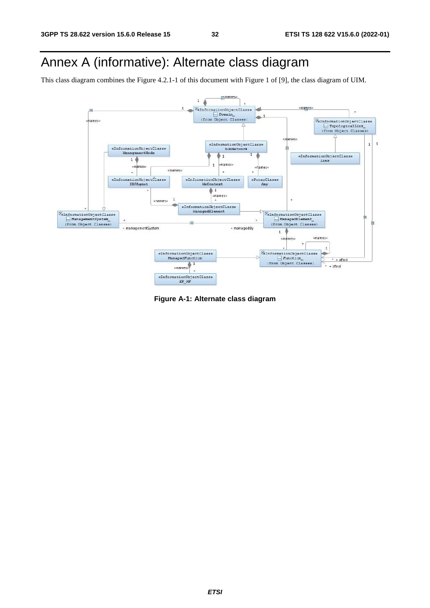## Annex A (informative): Alternate class diagram

This class diagram combines the Figure 4.2.1-1 of this document with Figure 1 of [9], the class diagram of UIM.



**Figure A-1: Alternate class diagram**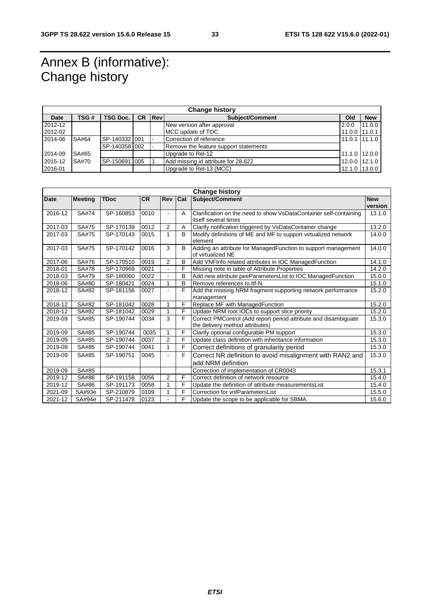## Annex B (informative): Change history

| <b>Change history</b> |       |                 |                |                         |                                       |               |               |
|-----------------------|-------|-----------------|----------------|-------------------------|---------------------------------------|---------------|---------------|
| Date                  | TSG # | <b>TSG Doc.</b> | <b>CR Revi</b> |                         | <b>Subiect/Comment</b>                | Old           | <b>New</b>    |
| 2012-12               |       |                 |                |                         | New version after approval            | 2.0.0         | 11.0.0        |
| 2012-02               |       |                 |                |                         | MCC update of TOC                     | $11.0.0$ I    | 11.0.1        |
| 2014-06               | SA#64 | SP-140332 001   |                | Correction of reference |                                       | 11.0.1        | 11.1.0        |
|                       |       | SP-140358 002   |                |                         | Remove the feature support statements |               |               |
| 2014-09               | SA#65 |                 |                |                         | Upgrade to Rel-12                     |               | 11.1.0 12.0.0 |
| 2015-12               | SA#70 | SP-150691 005   |                |                         | Add missing id attribute for 28.622   |               | 12.0.0 12.1.0 |
| 2016-01               |       |                 |                |                         | Upgrade to Rel-13 (MCC)               | 12.1.0 13.0.0 |               |

| <b>Change history</b> |                |             |           |                |              |                                                                                                    |                       |
|-----------------------|----------------|-------------|-----------|----------------|--------------|----------------------------------------------------------------------------------------------------|-----------------------|
| <b>Date</b>           | <b>Meeting</b> | <b>TDoc</b> | <b>CR</b> | <b>Rev</b>     | Cat          | Subject/Comment                                                                                    | <b>New</b><br>version |
| 2016-12               | SA#74          | SP-160853   | 0010      | $\blacksquare$ | A            | Clarification on the need to show VsDataContainer self-containing<br>itself several times          | 13.1.0                |
| 2017-03               | SA#75          | SP-170139   | 0012      | 2              | A            | Clarify notification triggered by VsDataContainer change                                           | 13.2.0                |
| 2017-03               | SA#75          | SP-170143   | 0015      | 1              | B            | Modify definitions of ME and MF to support virtualized network<br>element                          | 14.0.0                |
| 2017-03               | SA#75          | SP-170142   | 0016      | 3              | <sub>B</sub> | Adding an attribute for ManagedFunction to support management<br>of virtualized NE                 | 14.0.0                |
| 2017-06               | SA#76          | SP-170510   | 0019      | $\overline{2}$ | B            | Add VNFInfo related attributes in IOC ManagedFunction                                              | 14.1.0                |
| 2018-01               | SA#78          | SP-170969   | 0021      |                | F            | Missing note in table of Attribute Properties                                                      | 14.2.0                |
| 2018-03               | SA#79          | SP-180060   | 0022      | $\blacksquare$ | B            | Add new attribute peeParametersList to IOC ManagedFunction                                         | 15.0.0                |
| 2018-06               | SA#80          | SP-180421   | 0024      | 1              | B            | Remove references to Itf-N                                                                         | 15.1.0                |
| 2018-12               | SA#82          | SP-181156   | 0027      | L.             | F            | Add the missing NRM fragment supporting network performance<br>management                          | 15.2.0                |
| 2018-12               | SA#82          | SP-181042   | 0028      | 1              | F            | Replace MF with ManagedFunction                                                                    | 15.2.0                |
| 2018-12               | SA#82          | SP-181042   | 0029      | 1              | F            | Update NRM root IOCs to support slice priority                                                     | 15.2.0                |
| 2019-09               | SA#85          | SP-190744   | 0034      | 3              | F            | Correct PMControl (Add report period attribute and disambiguate<br>the delivery method attributes) | 15.3.0                |
| 2019-09               | SA#85          | SP-190744   | 0035      | 1              | F            | Clarify optional configurable PM support                                                           | 15.3.0                |
| 2019-09               | SA#85          | SP-190744   | 0037      | 2              | F            | Update class definition with inheritance information                                               | 15.3.0                |
| 2019-09               | SA#85          | SP-190744   | 0041      | 1              | F            | Correct definitions of granularity period                                                          | 15.3.0                |
| 2019-09               | SA#85          | SP-190751   | 0045      |                | F            | Correct NR definition to avoid misalignment with RAN2 and<br>add NRM definition                    | 15.3.0                |
| 2019-09               | SA#85          |             |           |                |              | Correction of implementation of CR0043                                                             | 15.3.1                |
| 2019-12               | SA#86          | SP-191158   | 0056      | $\overline{2}$ | F            | Correct definition of network resource                                                             | 15.4.0                |
| 2019-12               | SA#86          | SP-191173   | 0058      | 1              | F            | Update the definition of attribute measurementsList                                                | 15.4.0                |
| 2021-09               | SA#93e         | SP-210879   | 0109      | 1              | F            | Correction for vnfParametersList                                                                   | 15.5.0                |
| 2021-12               | SA#94e         | SP-211478   | 0123      |                | F            | Update the scope to be applicable for SBMA                                                         | 15.6.0                |